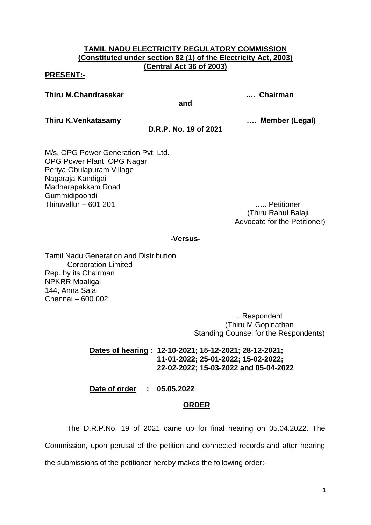## **TAMIL NADU ELECTRICITY REGULATORY COMMISSION (Constituted under section 82 (1) of the Electricity Act, 2003) (Central Act 36 of 2003)**

### **PRESENT:-**

**Thiru M.Chandrasekar .... Chairman**

**Thiru K.Venkatasamy …. Member (Legal)**

**D.R.P. No. 19 of 2021**

**and**

M/s. OPG Power Generation Pvt. Ltd. OPG Power Plant, OPG Nagar Periya Obulapuram Village Nagaraja Kandigai Madharapakkam Road Gummidipoondi Thiruvallur – 601 201 ….. Petitioner

 (Thiru Rahul Balaji Advocate for the Petitioner)

### **-Versus-**

Tamil Nadu Generation and Distribution Corporation Limited Rep. by its Chairman NPKRR Maaligai 144, Anna Salai Chennai – 600 002.

> ….Respondent (Thiru M.Gopinathan Standing Counsel for the Respondents)

# **Dates of hearing : 12-10-2021; 15-12-2021; 28-12-2021; 11-01-2022; 25-01-2022; 15-02-2022; 22-02-2022; 15-03-2022 and 05-04-2022**

**Date of order : 05.05.2022**

# **ORDER**

The D.R.P.No. 19 of 2021 came up for final hearing on 05.04.2022. The Commission, upon perusal of the petition and connected records and after hearing the submissions of the petitioner hereby makes the following order:-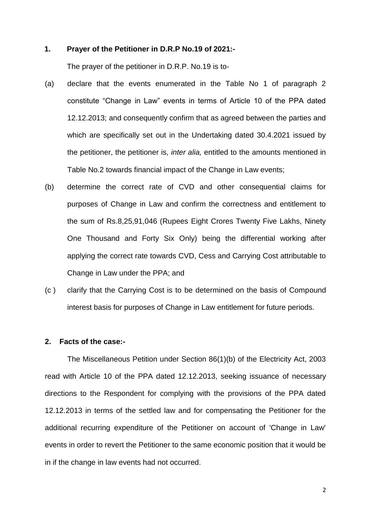## **1. Prayer of the Petitioner in D.R.P No.19 of 2021:-**

The prayer of the petitioner in D.R.P. No.19 is to-

- (a) declare that the events enumerated in the Table No 1 of paragraph 2 constitute "Change in Law" events in terms of Article 10 of the PPA dated 12.12.2013; and consequently confirm that as agreed between the parties and which are specifically set out in the Undertaking dated 30.4.2021 issued by the petitioner, the petitioner is, *inter alia,* entitled to the amounts mentioned in Table No.2 towards financial impact of the Change in Law events;
- (b) determine the correct rate of CVD and other consequential claims for purposes of Change in Law and confirm the correctness and entitlement to the sum of Rs.8,25,91,046 (Rupees Eight Crores Twenty Five Lakhs, Ninety One Thousand and Forty Six Only) being the differential working after applying the correct rate towards CVD, Cess and Carrying Cost attributable to Change in Law under the PPA; and
- (c ) clarify that the Carrying Cost is to be determined on the basis of Compound interest basis for purposes of Change in Law entitlement for future periods.

#### **2. Facts of the case:-**

The Miscellaneous Petition under Section 86(1)(b) of the Electricity Act, 2003 read with Article 10 of the PPA dated 12.12.2013, seeking issuance of necessary directions to the Respondent for complying with the provisions of the PPA dated 12.12.2013 in terms of the settled law and for compensating the Petitioner for the additional recurring expenditure of the Petitioner on account of 'Change in Law' events in order to revert the Petitioner to the same economic position that it would be in if the change in law events had not occurred.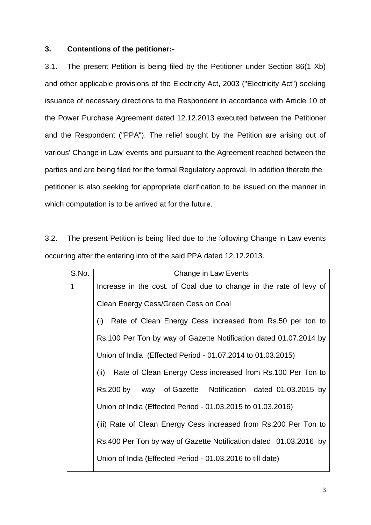## **3. Contentions of the petitioner:-**

3.1. The present Petition is being filed by the Petitioner under Section 86(1 Xb) and other applicable provisions of the Electricity Act, 2003 ("Electricity Act") seeking issuance of necessary directions to the Respondent in accordance with Article 10 of the Power Purchase Agreement dated 12.12.2013 executed between the Petitioner and the Respondent ("PPA"). The relief sought by the Petition are arising out of various' Change in Law' events and pursuant to the Agreement reached between the parties and are being filed for the formal Regulatory approval. In addition thereto the petitioner is also seeking for appropriate clarification to be issued on the manner in which computation is to be arrived at for the future.

3.2. The present Petition is being filed due to the following Change in Law events occurring after the entering into of the said PPA dated 12.12.2013.

| S.No.        | Change in Law Events                                               |  |  |
|--------------|--------------------------------------------------------------------|--|--|
| $\mathbf{1}$ | Increase in the cost. of Coal due to change in the rate of levy of |  |  |
|              | Clean Energy Cess/Green Cess on Coal                               |  |  |
|              | Rate of Clean Energy Cess increased from Rs.50 per ton to<br>(i)   |  |  |
|              | Rs.100 Per Ton by way of Gazette Notification dated 01.07.2014 by  |  |  |
|              | Union of India (Effected Period - 01.07.2014 to 01.03.2015)        |  |  |
|              | Rate of Clean Energy Cess increased from Rs.100 Per Ton to<br>(ii) |  |  |
|              | Rs.200 by way of Gazette Notification dated 01.03.2015 by          |  |  |
|              | Union of India (Effected Period - 01.03.2015 to 01.03.2016)        |  |  |
|              | (iii) Rate of Clean Energy Cess increased from Rs.200 Per Ton to   |  |  |
|              | Rs.400 Per Ton by way of Gazette Notification dated 01.03.2016 by  |  |  |
|              | Union of India (Effected Period - 01.03.2016 to till date)         |  |  |
|              |                                                                    |  |  |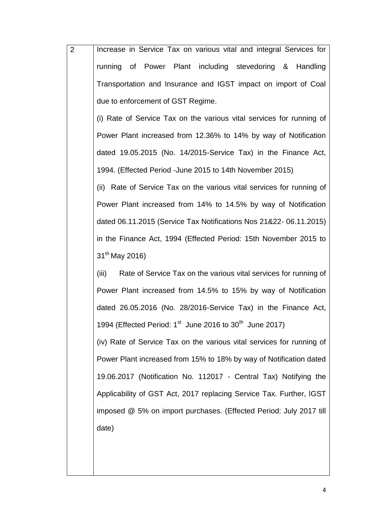| $\overline{2}$ | Increase in Service Tax on various vital and integral Services for              |
|----------------|---------------------------------------------------------------------------------|
|                | running of Power Plant including stevedoring & Handling                         |
|                | Transportation and Insurance and IGST impact on import of Coal                  |
|                | due to enforcement of GST Regime.                                               |
|                | (i) Rate of Service Tax on the various vital services for running of            |
|                | Power Plant increased from 12.36% to 14% by way of Notification                 |
|                | dated 19.05.2015 (No. 14/2015-Service Tax) in the Finance Act,                  |
|                | 1994. (Effected Period -June 2015 to 14th November 2015)                        |
|                | (ii) Rate of Service Tax on the various vital services for running of           |
|                | Power Plant increased from 14% to 14.5% by way of Notification                  |
|                | dated 06.11.2015 (Service Tax Notifications Nos 21&22-06.11.2015)               |
|                | in the Finance Act, 1994 (Effected Period: 15th November 2015 to                |
|                | 31 <sup>th</sup> May 2016)                                                      |
|                | Rate of Service Tax on the various vital services for running of<br>(iii)       |
|                | Power Plant increased from 14.5% to 15% by way of Notification                  |
|                | dated 26.05.2016 (No. 28/2016-Service Tax) in the Finance Act,                  |
|                | 1994 (Effected Period: 1 <sup>st</sup> June 2016 to 30 <sup>th</sup> June 2017) |
|                | (iv) Rate of Service Tax on the various vital services for running of           |
|                | Power Plant increased from 15% to 18% by way of Notification dated              |
|                | 19.06.2017 (Notification No. 112017 - Central Tax) Notifying the                |
|                | Applicability of GST Act, 2017 replacing Service Tax. Further, IGST             |
|                | imposed @ 5% on import purchases. (Effected Period: July 2017 till              |
|                | date)                                                                           |
|                |                                                                                 |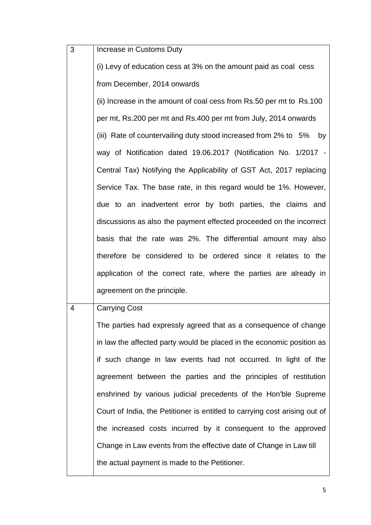| 3 | Increase in Customs Duty                                                   |
|---|----------------------------------------------------------------------------|
|   | (i) Levy of education cess at 3% on the amount paid as coal cess           |
|   | from December, 2014 onwards                                                |
|   | (ii) Increase in the amount of coal cess from Rs.50 per mt to Rs.100       |
|   | per mt, Rs.200 per mt and Rs.400 per mt from July, 2014 onwards            |
|   | (iii) Rate of countervailing duty stood increased from 2% to 5%<br>by      |
|   | way of Notification dated 19.06.2017 (Notification No. 1/2017 -            |
|   | Central Tax) Notifying the Applicability of GST Act, 2017 replacing        |
|   | Service Tax. The base rate, in this regard would be 1%. However,           |
|   | due to an inadvertent error by both parties, the claims and                |
|   | discussions as also the payment effected proceeded on the incorrect        |
|   | basis that the rate was 2%. The differential amount may also               |
|   | therefore be considered to be ordered since it relates to the              |
|   | application of the correct rate, where the parties are already in          |
|   | agreement on the principle.                                                |
| 4 | <b>Carrying Cost</b>                                                       |
|   | The parties had expressly agreed that as a consequence of change           |
|   | in law the affected party would be placed in the economic position as      |
|   | if such change in law events had not occurred. In light of the             |
|   | agreement between the parties and the principles of restitution            |
|   | enshrined by various judicial precedents of the Hon'ble Supreme            |
|   | Court of India, the Petitioner is entitled to carrying cost arising out of |
|   | the increased costs incurred by it consequent to the approved              |
|   | Change in Law events from the effective date of Change in Law till         |
|   | the actual payment is made to the Petitioner.                              |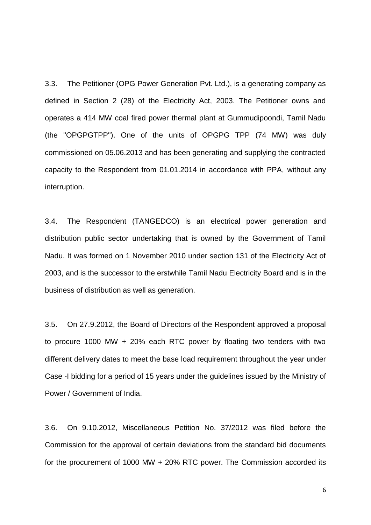3.3. The Petitioner (OPG Power Generation Pvt. Ltd.), is a generating company as defined in Section 2 (28) of the Electricity Act, 2003. The Petitioner owns and operates a 414 MW coal fired power thermal plant at Gummudipoondi, Tamil Nadu (the "OPGPGTPP"). One of the units of OPGPG TPP (74 MW) was duly commissioned on 05.06.2013 and has been generating and supplying the contracted capacity to the Respondent from 01.01.2014 in accordance with PPA, without any interruption.

3.4. The Respondent (TANGEDCO) is an electrical power generation and distribution public sector undertaking that is owned by the Government of Tamil Nadu. It was formed on 1 November 2010 under section 131 of the Electricity Act of 2003, and is the successor to the erstwhile Tamil Nadu Electricity Board and is in the business of distribution as well as generation.

3.5. On 27.9.2012, the Board of Directors of the Respondent approved a proposal to procure 1000 MW + 20% each RTC power by floating two tenders with two different delivery dates to meet the base load requirement throughout the year under Case -I bidding for a period of 15 years under the guidelines issued by the Ministry of Power / Government of India.

3.6. On 9.10.2012, Miscellaneous Petition No. 37/2012 was filed before the Commission for the approval of certain deviations from the standard bid documents for the procurement of 1000 MW + 20% RTC power. The Commission accorded its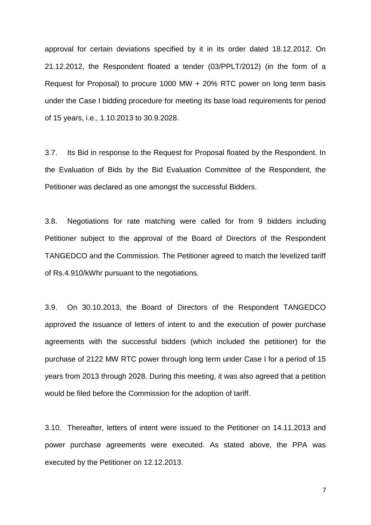approval for certain deviations specified by it in its order dated 18.12.2012. On 21.12.2012, the Respondent floated a tender (03/PPLT/2012) (in the form of a Request for Proposal) to procure 1000 MW + 20% RTC power on long term basis under the Case I bidding procedure for meeting its base load requirements for period of 15 years, i.e., 1.10.2013 to 30.9.2028.

3.7. Its Bid in response to the Request for Proposal floated by the Respondent. In the Evaluation of Bids by the Bid Evaluation Committee of the Respondent, the Petitioner was declared as one amongst the successful Bidders.

3.8. Negotiations for rate matching were called for from 9 bidders including Petitioner subject to the approval of the Board of Directors of the Respondent TANGEDCO and the Commission. The Petitioner agreed to match the levelized tariff of Rs.4.910/kWhr pursuant to the negotiations.

3.9. On 30.10.2013, the Board of Directors of the Respondent TANGEDCO approved the issuance of letters of intent to and the execution of power purchase agreements with the successful bidders (which included the petitioner) for the purchase of 2122 MW RTC power through long term under Case I for a period of 15 years from 2013 through 2028. During this meeting, it was also agreed that a petition would be filed before the Commission for the adoption of tariff.

3.10. Thereafter, letters of intent were issued to the Petitioner on 14.11.2013 and power purchase agreements were executed. As stated above, the PPA was executed by the Petitioner on 12.12.2013.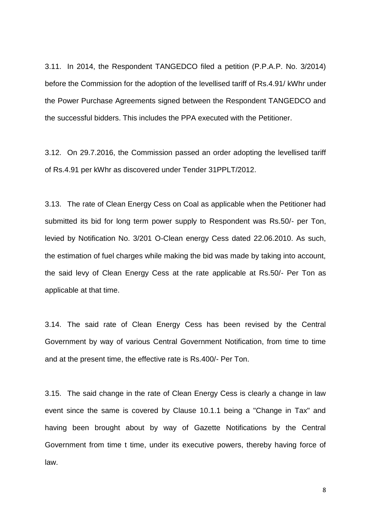3.11. In 2014, the Respondent TANGEDCO filed a petition (P.P.A.P. No. 3/2014) before the Commission for the adoption of the levellised tariff of Rs.4.91/ kWhr under the Power Purchase Agreements signed between the Respondent TANGEDCO and the successful bidders. This includes the PPA executed with the Petitioner.

3.12. On 29.7.2016, the Commission passed an order adopting the levellised tariff of Rs.4.91 per kWhr as discovered under Tender 31PPLT/2012.

3.13. The rate of Clean Energy Cess on Coal as applicable when the Petitioner had submitted its bid for long term power supply to Respondent was Rs.50/- per Ton, levied by Notification No. 3/201 O-Clean energy Cess dated 22.06.2010. As such, the estimation of fuel charges while making the bid was made by taking into account, the said levy of Clean Energy Cess at the rate applicable at Rs.50/- Per Ton as applicable at that time.

3.14. The said rate of Clean Energy Cess has been revised by the Central Government by way of various Central Government Notification, from time to time and at the present time, the effective rate is Rs.400/- Per Ton.

3.15. The said change in the rate of Clean Energy Cess is clearly a change in law event since the same is covered by Clause 10.1.1 being a "Change in Tax" and having been brought about by way of Gazette Notifications by the Central Government from time t time, under its executive powers, thereby having force of law.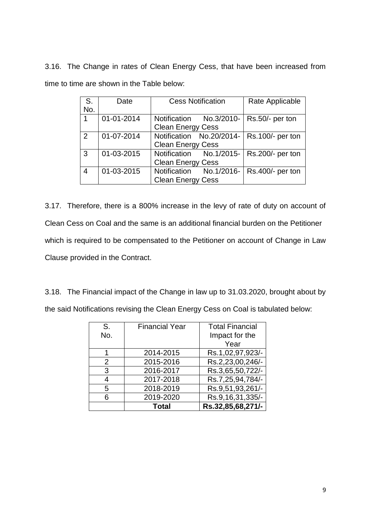3.16. The Change in rates of Clean Energy Cess, that have been increased from time to time are shown in the Table below:

| S.  | Date       | <b>Cess Notification</b> | Rate Applicable  |
|-----|------------|--------------------------|------------------|
| No. |            |                          |                  |
| 1   | 01-01-2014 | Notification No.3/2010-  | Rs.50/- per ton  |
|     |            | <b>Clean Energy Cess</b> |                  |
| 2   | 01-07-2014 | Notification No.20/2014- | Rs.100/- per ton |
|     |            | <b>Clean Energy Cess</b> |                  |
| 3   | 01-03-2015 | Notification No.1/2015-  | Rs.200/- per ton |
|     |            | <b>Clean Energy Cess</b> |                  |
| 4   | 01-03-2015 | Notification No.1/2016-  | Rs.400/- per ton |
|     |            | <b>Clean Energy Cess</b> |                  |

3.17. Therefore, there is a 800% increase in the levy of rate of duty on account of Clean Cess on Coal and the same is an additional financial burden on the Petitioner which is required to be compensated to the Petitioner on account of Change in Law Clause provided in the Contract.

3.18. The Financial impact of the Change in law up to 31.03.2020, brought about by the said Notifications revising the Clean Energy Cess on Coal is tabulated below:

| S.            | <b>Financial Year</b> | <b>Total Financial</b> |
|---------------|-----------------------|------------------------|
| No.           |                       | Impact for the         |
|               |                       | Year                   |
|               | 2014-2015             | Rs.1,02,97,923/-       |
| $\mathcal{P}$ | 2015-2016             | Rs.2,23,00,246/-       |
| 3             | 2016-2017             | Rs.3,65,50,722/-       |
|               | 2017-2018             | Rs.7,25,94,784/-       |
| 5             | 2018-2019             | Rs.9,51,93,261/-       |
| 6             | 2019-2020             | Rs.9,16,31,335/-       |
|               | <b>Total</b>          | Rs.32,85,68,271/-      |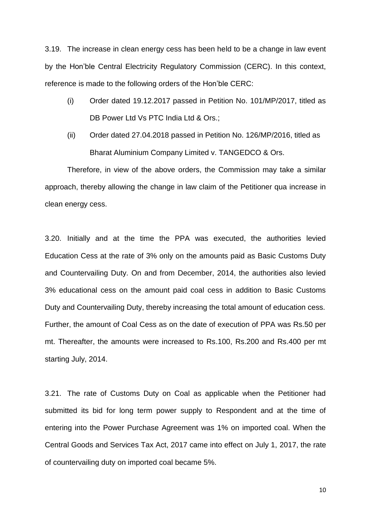3.19. The increase in clean energy cess has been held to be a change in law event by the Hon'ble Central Electricity Regulatory Commission (CERC). In this context, reference is made to the following orders of the Hon'ble CERC:

- (i) Order dated 19.12.2017 passed in Petition No. 101/MP/2017, titled as DB Power Ltd Vs PTC India Ltd & Ors.;
- (ii) Order dated 27.04.2018 passed in Petition No. 126/MP/2016, titled as Bharat Aluminium Company Limited v. TANGEDCO & Ors.

Therefore, in view of the above orders, the Commission may take a similar approach, thereby allowing the change in law claim of the Petitioner qua increase in clean energy cess.

3.20. Initially and at the time the PPA was executed, the authorities levied Education Cess at the rate of 3% only on the amounts paid as Basic Customs Duty and Countervailing Duty. On and from December, 2014, the authorities also levied 3% educational cess on the amount paid coal cess in addition to Basic Customs Duty and Countervailing Duty, thereby increasing the total amount of education cess. Further, the amount of Coal Cess as on the date of execution of PPA was Rs.50 per mt. Thereafter, the amounts were increased to Rs.100, Rs.200 and Rs.400 per mt starting July, 2014.

3.21. The rate of Customs Duty on Coal as applicable when the Petitioner had submitted its bid for long term power supply to Respondent and at the time of entering into the Power Purchase Agreement was 1% on imported coal. When the Central Goods and Services Tax Act, 2017 came into effect on July 1, 2017, the rate of countervailing duty on imported coal became 5%.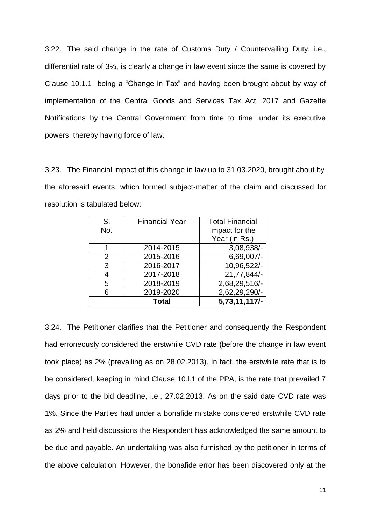3.22. The said change in the rate of Customs Duty / Countervailing Duty, i.e., differential rate of 3%, is clearly a change in law event since the same is covered by Clause 10.1.1 being a "Change in Tax" and having been brought about by way of implementation of the Central Goods and Services Tax Act, 2017 and Gazette Notifications by the Central Government from time to time, under its executive powers, thereby having force of law.

3.23. The Financial impact of this change in law up to 31.03.2020, brought about by the aforesaid events, which formed subject-matter of the claim and discussed for resolution is tabulated below:

| S.  | <b>Financial Year</b> | <b>Total Financial</b> |
|-----|-----------------------|------------------------|
| No. |                       | Impact for the         |
|     |                       | Year (in Rs.)          |
|     | 2014-2015             | 3,08,938/-             |
| 2   | 2015-2016             | $6,69,007/$ -          |
| 3   | 2016-2017             | 10,96,522/-            |
| 4   | 2017-2018             | 21,77,844/-            |
| 5   | 2018-2019             | 2,68,29,516/-          |
| 6   | 2019-2020             | 2,62,29,290/-          |
|     | <b>Total</b>          | 5,73,11,117/-          |

3.24. The Petitioner clarifies that the Petitioner and consequently the Respondent had erroneously considered the erstwhile CVD rate (before the change in law event took place) as 2% (prevailing as on 28.02.2013). In fact, the erstwhile rate that is to be considered, keeping in mind Clause 10.l.1 of the PPA, is the rate that prevailed 7 days prior to the bid deadline, i.e., 27.02.2013. As on the said date CVD rate was 1%. Since the Parties had under a bonafide mistake considered erstwhile CVD rate as 2% and held discussions the Respondent has acknowledged the same amount to be due and payable. An undertaking was also furnished by the petitioner in terms of the above calculation. However, the bonafide error has been discovered only at the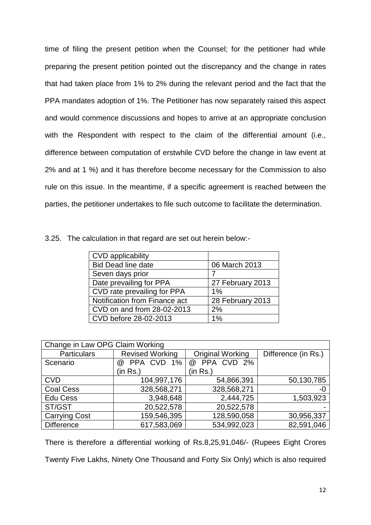time of filing the present petition when the Counsel; for the petitioner had while preparing the present petition pointed out the discrepancy and the change in rates that had taken place from 1% to 2% during the relevant period and the fact that the PPA mandates adoption of 1%. The Petitioner has now separately raised this aspect and would commence discussions and hopes to arrive at an appropriate conclusion with the Respondent with respect to the claim of the differential amount (i.e., difference between computation of erstwhile CVD before the change in law event at 2% and at 1 %) and it has therefore become necessary for the Commission to also rule on this issue. In the meantime, if a specific agreement is reached between the parties, the petitioner undertakes to file such outcome to facilitate the determination.

|  |  |  | 3.25. The calculation in that regard are set out herein below:- |
|--|--|--|-----------------------------------------------------------------|
|--|--|--|-----------------------------------------------------------------|

| <b>CVD</b> applicability      |                  |
|-------------------------------|------------------|
| <b>Bid Dead line date</b>     | 06 March 2013    |
| Seven days prior              |                  |
| Date prevailing for PPA       | 27 February 2013 |
| CVD rate prevailing for PPA   | $1\%$            |
| Notification from Finance act | 28 February 2013 |
| CVD on and from 28-02-2013    | 2%               |
| CVD before 28-02-2013         | 1%               |

| Change in Law OPG Claim Working |                        |                         |                     |  |
|---------------------------------|------------------------|-------------------------|---------------------|--|
| <b>Particulars</b>              | <b>Revised Working</b> | <b>Original Working</b> | Difference (in Rs.) |  |
| Scenario                        | PPA CVD 1%<br>$\omega$ | @ PPA CVD 2%            |                     |  |
|                                 | (in Rs.)               | (in Rs.)                |                     |  |
| <b>CVD</b>                      | 104,997,176            | 54,866,391              | 50,130,785          |  |
| <b>Coal Cess</b>                | 328,568,271            | 328,568,271             | -0                  |  |
| <b>Edu Cess</b>                 | 3,948,648              | 2,444,725               | 1,503,923           |  |
| ST/GST                          | 20,522,578             | 20,522,578              |                     |  |
| <b>Carrying Cost</b>            | 159,546,395            | 128,590,058             | 30,956,337          |  |
| <b>Difference</b>               | 617,583,069            | 534,992,023             | 82,591,046          |  |

There is therefore a differential working of Rs.8,25,91,046/- (Rupees Eight Crores Twenty Five Lakhs, Ninety One Thousand and Forty Six Only) which is also required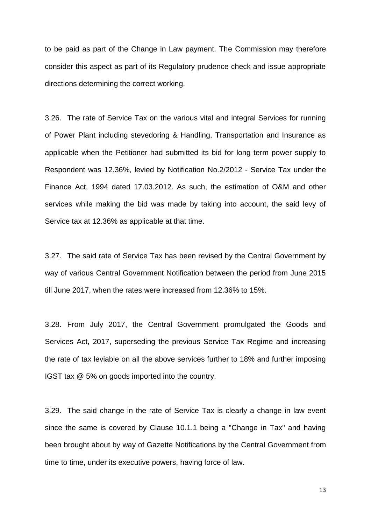to be paid as part of the Change in Law payment. The Commission may therefore consider this aspect as part of its Regulatory prudence check and issue appropriate directions determining the correct working.

3.26. The rate of Service Tax on the various vital and integral Services for running of Power Plant including stevedoring & Handling, Transportation and Insurance as applicable when the Petitioner had submitted its bid for long term power supply to Respondent was 12.36%, levied by Notification No.2/2012 - Service Tax under the Finance Act, 1994 dated 17.03.2012. As such, the estimation of O&M and other services while making the bid was made by taking into account, the said levy of Service tax at 12.36% as applicable at that time.

3.27. The said rate of Service Tax has been revised by the Central Government by way of various Central Government Notification between the period from June 2015 till June 2017, when the rates were increased from 12.36% to 15%.

3.28. From July 2017, the Central Government promulgated the Goods and Services Act, 2017, superseding the previous Service Tax Regime and increasing the rate of tax leviable on all the above services further to 18% and further imposing IGST tax @ 5% on goods imported into the country.

3.29. The said change in the rate of Service Tax is clearly a change in law event since the same is covered by Clause 10.1.1 being a "Change in Tax" and having been brought about by way of Gazette Notifications by the Central Government from time to time, under its executive powers, having force of law.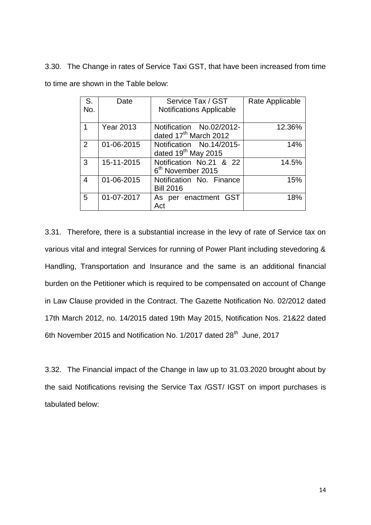3.30. The Change in rates of Service Taxi GST, that have been increased from time to time are shown in the Table below:

| S.<br>No. | Date             | Service Tax / GST<br><b>Notifications Applicable</b>          | Rate Applicable |
|-----------|------------------|---------------------------------------------------------------|-----------------|
| 1         | <b>Year 2013</b> | Notification No.02/2012-<br>dated 17 <sup>th</sup> March 2012 | 12.36%          |
| 2         | 01-06-2015       | Notification No.14/2015-<br>dated 19 <sup>th</sup> May 2015   | 14%             |
| 3         | 15-11-2015       | Notification No.21 & 22<br>6 <sup>th</sup> November 2015      | 14.5%           |
| 4         | 01-06-2015       | Notification No. Finance<br><b>Bill 2016</b>                  | 15%             |
| 5         | 01-07-2017       | As per enactment GST<br>Act                                   | 18%             |

3.31. Therefore, there is a substantial increase in the levy of rate of Service tax on various vital and integral Services for running of Power Plant including stevedoring & Handling, Transportation and Insurance and the same is an additional financial burden on the Petitioner which is required to be compensated on account of Change in Law Clause provided in the Contract. The Gazette Notification No. 02/2012 dated 17th March 2012, no. 14/2015 dated 19th May 2015, Notification Nos. 21&22 dated 6th November 2015 and Notification No. 1/2017 dated 28<sup>th</sup> June, 2017

3.32. The Financial impact of the Change in law up to 31.03.2020 brought about by the said Notifications revising the Service Tax /GST/ IGST on import purchases is tabulated below: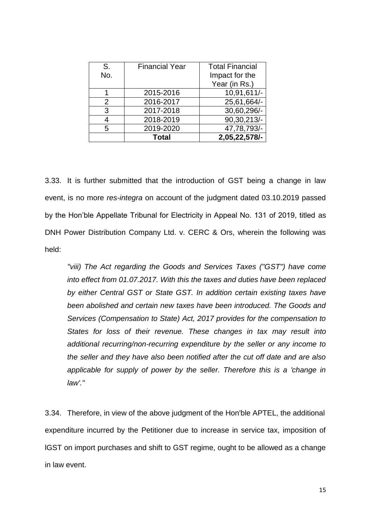| S.  | <b>Financial Year</b> | <b>Total Financial</b> |
|-----|-----------------------|------------------------|
| No. |                       | Impact for the         |
|     |                       | Year (in Rs.)          |
|     | 2015-2016             | 10,91,611/-            |
| 2   | 2016-2017             | 25,61,664/-            |
| 3   | 2017-2018             | 30,60,296/-            |
|     | 2018-2019             | 90,30,213/-            |
| 5   | 2019-2020             | 47,78,793/-            |
|     | <b>Total</b>          | 2,05,22,578/-          |

3.33. It is further submitted that the introduction of GST being a change in law event, is no more *res-integra* on account of the judgment dated 03.10.2019 passed by the Hon'ble Appellate Tribunal for Electricity in Appeal No. 131 of 2019, titled as DNH Power Distribution Company Ltd. v. CERC & Ors, wherein the following was held:

*"viii) The Act regarding the Goods and Services Taxes ("GST") have come into effect from 01.07.2017. With this the taxes and duties have been replaced by either Central GST or State GST. In addition certain existing taxes have been abolished and certain new taxes have been introduced. The Goods and Services (Compensation to State) Act, 2017 provides for the compensation to States for loss of their revenue. These changes in tax may result into additional recurring/non-recurring expenditure by the seller or any income to the seller and they have also been notified after the cut off date and are also applicable for supply of power by the seller. Therefore this is a 'change in law'."* 

3.34. Therefore, in view of the above judgment of the Hon'ble APTEL, the additional expenditure incurred by the Petitioner due to increase in service tax, imposition of lGST on import purchases and shift to GST regime, ought to be allowed as a change in law event.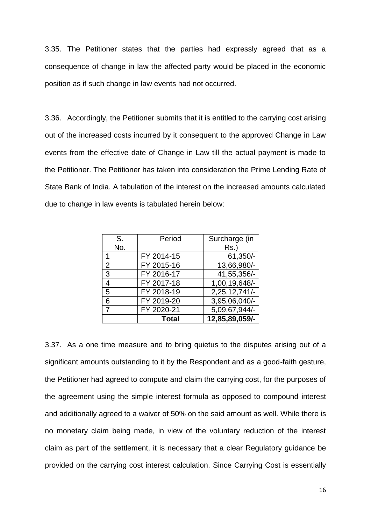3.35. The Petitioner states that the parties had expressly agreed that as a consequence of change in law the affected party would be placed in the economic position as if such change in law events had not occurred.

3.36. Accordingly, the Petitioner submits that it is entitled to the carrying cost arising out of the increased costs incurred by it consequent to the approved Change in Law events from the effective date of Change in Law till the actual payment is made to the Petitioner. The Petitioner has taken into consideration the Prime Lending Rate of State Bank of India. A tabulation of the interest on the increased amounts calculated due to change in law events is tabulated herein below:

| S.             | Period       | Surcharge (in  |
|----------------|--------------|----------------|
| No.            |              | $Rs.$ )        |
|                | FY 2014-15   | $61,350/-$     |
| 2              | FY 2015-16   | 13,66,980/-    |
| 3              | FY 2016-17   | 41,55,356/-    |
| $\overline{4}$ | FY 2017-18   | 1,00,19,648/-  |
| 5              | FY 2018-19   | 2,25,12,741/-  |
| 6              | FY 2019-20   | 3,95,06,040/-  |
| 7              | FY 2020-21   | 5,09,67,944/-  |
|                | <b>Total</b> | 12,85,89,059/- |

3.37. As a one time measure and to bring quietus to the disputes arising out of a significant amounts outstanding to it by the Respondent and as a good-faith gesture, the Petitioner had agreed to compute and claim the carrying cost, for the purposes of the agreement using the simple interest formula as opposed to compound interest and additionally agreed to a waiver of 50% on the said amount as well. While there is no monetary claim being made, in view of the voluntary reduction of the interest claim as part of the settlement, it is necessary that a clear Regulatory guidance be provided on the carrying cost interest calculation. Since Carrying Cost is essentially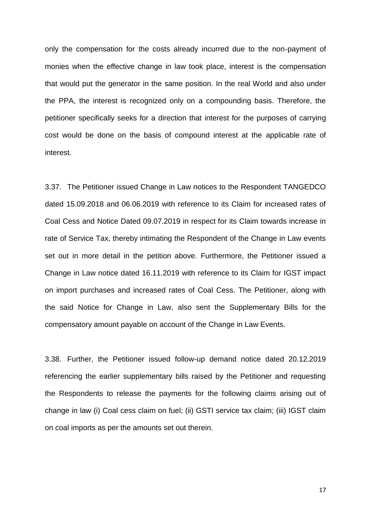only the compensation for the costs already incurred due to the non-payment of monies when the effective change in law took place, interest is the compensation that would put the generator in the same position. In the real World and also under the PPA, the interest is recognized only on a compounding basis. Therefore, the petitioner specifically seeks for a direction that interest for the purposes of carrying cost would be done on the basis of compound interest at the applicable rate of interest.

3.37. The Petitioner issued Change in Law notices to the Respondent TANGEDCO dated 15.09.2018 and 06.06.2019 with reference to its Claim for increased rates of Coal Cess and Notice Dated 09.07.2019 in respect for its Claim towards increase in rate of Service Tax, thereby intimating the Respondent of the Change in Law events set out in more detail in the petition above. Furthermore, the Petitioner issued a Change in Law notice dated 16.11.2019 with reference to its Claim for IGST impact on import purchases and increased rates of Coal Cess. The Petitioner, along with the said Notice for Change in Law, also sent the Supplementary Bills for the compensatory amount payable on account of the Change in Law Events.

3.38. Further, the Petitioner issued follow-up demand notice dated 20.12.2019 referencing the earlier supplementary bills raised by the Petitioner and requesting the Respondents to release the payments for the following claims arising out of change in law (i) Coal cess claim on fuel; (ii) GSTI service tax claim; (iii) IGST claim on coal imports as per the amounts set out therein.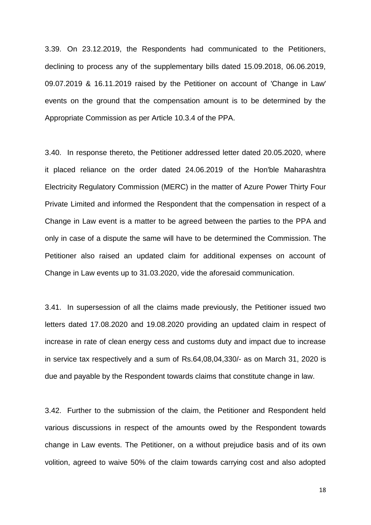3.39. On 23.12.2019, the Respondents had communicated to the Petitioners, declining to process any of the supplementary bills dated 15.09.2018, 06.06.2019, 09.07.2019 & 16.11.2019 raised by the Petitioner on account of 'Change in Law' events on the ground that the compensation amount is to be determined by the Appropriate Commission as per Article 10.3.4 of the PPA.

3.40. In response thereto, the Petitioner addressed letter dated 20.05.2020, where it placed reliance on the order dated 24.06.2019 of the Hon'ble Maharashtra Electricity Regulatory Commission (MERC) in the matter of Azure Power Thirty Four Private Limited and informed the Respondent that the compensation in respect of a Change in Law event is a matter to be agreed between the parties to the PPA and only in case of a dispute the same will have to be determined the Commission. The Petitioner also raised an updated claim for additional expenses on account of Change in Law events up to 31.03.2020, vide the aforesaid communication.

3.41. In supersession of all the claims made previously, the Petitioner issued two letters dated 17.08.2020 and 19.08.2020 providing an updated claim in respect of increase in rate of clean energy cess and customs duty and impact due to increase in service tax respectively and a sum of Rs.64,08,04,330/- as on March 31, 2020 is due and payable by the Respondent towards claims that constitute change in law.

3.42. Further to the submission of the claim, the Petitioner and Respondent held various discussions in respect of the amounts owed by the Respondent towards change in Law events. The Petitioner, on a without prejudice basis and of its own volition, agreed to waive 50% of the claim towards carrying cost and also adopted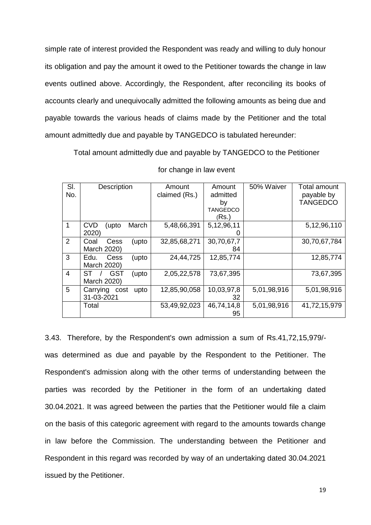simple rate of interest provided the Respondent was ready and willing to duly honour its obligation and pay the amount it owed to the Petitioner towards the change in law events outlined above. Accordingly, the Respondent, after reconciling its books of accounts clearly and unequivocally admitted the following amounts as being due and payable towards the various heads of claims made by the Petitioner and the total amount admittedly due and payable by TANGEDCO is tabulated hereunder:

Total amount admittedly due and payable by TANGEDCO to the Petitioner

| SI.<br>No.     | Description                              | Amount<br>claimed (Rs.) | Amount<br>admitted<br>by<br>TANGEDCO<br>(Rs.) | 50% Waiver  | Total amount<br>payable by<br><b>TANGEDCO</b> |
|----------------|------------------------------------------|-------------------------|-----------------------------------------------|-------------|-----------------------------------------------|
| $\mathbf{1}$   | <b>CVD</b><br>March<br>(upto<br>2020)    | 5,48,66,391             | 5,12,96,11                                    |             | 5,12,96,110                                   |
| 2              | Coal<br>Cess<br>(upto<br>March 2020)     | 32,85,68,271            | 30,70,67,7<br>84                              |             | 30,70,67,784                                  |
| 3              | Edu.<br>Cess<br>(upto<br>March 2020)     | 24,44,725               | 12,85,774                                     |             | 12,85,774                                     |
| $\overline{4}$ | ST<br><b>GST</b><br>upto)<br>March 2020) | 2,05,22,578             | 73,67,395                                     |             | 73,67,395                                     |
| 5              | Carrying cost<br>upto<br>31-03-2021      | 12,85,90,058            | 10,03,97,8<br>32                              | 5,01,98,916 | 5,01,98,916                                   |
|                | Total                                    | 53,49,92,023            | 46,74,14,8<br>95                              | 5,01,98,916 | 41,72,15,979                                  |

for change in law event

3.43. Therefore, by the Respondent's own admission a sum of Rs.41,72,15,979/ was determined as due and payable by the Respondent to the Petitioner. The Respondent's admission along with the other terms of understanding between the parties was recorded by the Petitioner in the form of an undertaking dated 30.04.2021. It was agreed between the parties that the Petitioner would file a claim on the basis of this categoric agreement with regard to the amounts towards change in law before the Commission. The understanding between the Petitioner and Respondent in this regard was recorded by way of an undertaking dated 30.04.2021 issued by the Petitioner.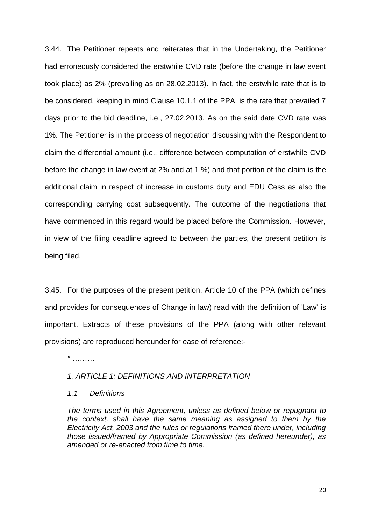3.44. The Petitioner repeats and reiterates that in the Undertaking, the Petitioner had erroneously considered the erstwhile CVD rate (before the change in law event took place) as 2% (prevailing as on 28.02.2013). In fact, the erstwhile rate that is to be considered, keeping in mind Clause 10.1.1 of the PPA, is the rate that prevailed 7 days prior to the bid deadline, i.e., 27.02.2013. As on the said date CVD rate was 1%. The Petitioner is in the process of negotiation discussing with the Respondent to claim the differential amount (i.e., difference between computation of erstwhile CVD before the change in law event at 2% and at 1 %) and that portion of the claim is the additional claim in respect of increase in customs duty and EDU Cess as also the corresponding carrying cost subsequently. The outcome of the negotiations that have commenced in this regard would be placed before the Commission. However, in view of the filing deadline agreed to between the parties, the present petition is being filed.

3.45. For the purposes of the present petition, Article 10 of the PPA (which defines and provides for consequences of Change in law) read with the definition of 'Law' is important. Extracts of these provisions of the PPA (along with other relevant provisions) are reproduced hereunder for ease of reference:-

*" ………*

## *1. ARTICLE 1: DEFINITIONS AND INTERPRETATION*

### *1.1 Definitions*

*The terms used in this Agreement, unless as defined below or repugnant to the context, shall have the same meaning as assigned to them by the Electricity Act, 2003 and the rules or regulations framed there under, including those issued/framed by Appropriate Commission (as defined hereunder), as amended or re-enacted from time to time.*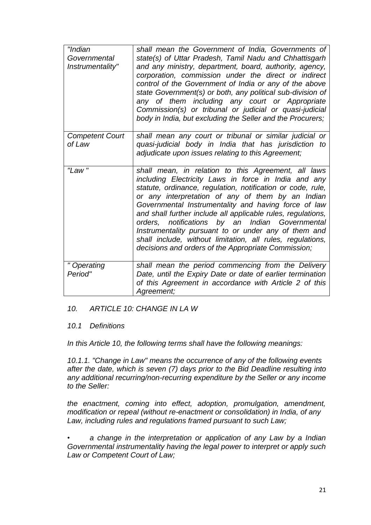| "Indian                | shall mean the Government of India, Governments of           |
|------------------------|--------------------------------------------------------------|
| Governmental           | state(s) of Uttar Pradesh, Tamil Nadu and Chhattisgarh       |
| Instrumentality"       | and any ministry, department, board, authority, agency,      |
|                        | corporation, commission under the direct or indirect         |
|                        | control of the Government of India or any of the above       |
|                        | state Government(s) or both, any political sub-division of   |
|                        | any of them including any court or Appropriate               |
|                        | Commission(s) or tribunal or judicial or quasi-judicial      |
|                        | body in India, but excluding the Seller and the Procurers;   |
|                        |                                                              |
| <b>Competent Court</b> | shall mean any court or tribunal or similar judicial or      |
| of Law                 | quasi-judicial body in India that has jurisdiction to        |
|                        | adjudicate upon issues relating to this Agreement;           |
|                        |                                                              |
| "Law"                  | shall mean, in relation to this Agreement, all laws          |
|                        | including Electricity Laws in force in India and any         |
|                        | statute, ordinance, regulation, notification or code, rule,  |
|                        | or any interpretation of any of them by an Indian            |
|                        | Governmental Instrumentality and having force of law         |
|                        | and shall further include all applicable rules, regulations, |
|                        | orders, notifications by an Indian Governmental              |
|                        | Instrumentality pursuant to or under any of them and         |
|                        | shall include, without limitation, all rules, regulations,   |
|                        | decisions and orders of the Appropriate Commission;          |
| " Operating            | shall mean the period commencing from the Delivery           |
| Period"                | Date, until the Expiry Date or date of earlier termination   |
|                        | of this Agreement in accordance with Article 2 of this       |
|                        | Agreement;                                                   |

# *10. ARTICLE 10: CHANGE IN LA W*

# *10.1 Definitions*

*In this Article 10, the following terms shall have the following meanings:* 

*10.1.1. "Change in Law" means the occurrence of any of the following events after the date, which is seven (7) days prior to the Bid Deadline resulting into any additional recurring/non-recurring expenditure by the Seller or any income to the Seller:* 

*the enactment, coming into effect, adoption, promulgation, amendment, modification or repeal (without re-enactment or consolidation) in India, of any Law, including rules and regulations framed pursuant to such Law;* 

*• a change in the interpretation or application of any Law by a Indian Governmental instrumentality having the legal power to interpret or apply such Law or Competent Court of Law;*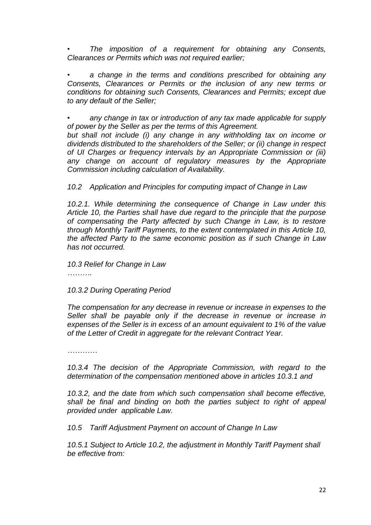*• The imposition of a requirement for obtaining any Consents, Clearances or Permits which was not required earlier;* 

*• a change in the terms and conditions prescribed for obtaining any Consents, Clearances or Permits or the inclusion of any new terms or conditions for obtaining such Consents, Clearances and Permits; except due to any default of the Seller;* 

*• any change in tax or introduction of any tax made applicable for supply of power by the Seller as per the terms of this Agreement.* 

*but shall not include (i) any change in any withholding tax on income or dividends distributed to the shareholders of the Seller; or (ii) change in respect of UI Charges or frequency intervals by an Appropriate Commission or (iii) any change on account of regulatory measures by the Appropriate Commission including calculation of Availability.* 

*10.2 Application and Principles for computing impact of Change in Law* 

*10.2.1. While determining the consequence of Change in Law under this Article 10, the Parties shall have due regard to the principle that the purpose of compensating the Party affected by such Change in Law, is to restore through Monthly Tariff Payments, to the extent contemplated in this Article 10, the affected Party to the same economic position as if such Change in Law has not occurred.* 

*10.3 Relief for Change in Law*

*……….*

*10.3.2 During Operating Period* 

*The compensation for any decrease in revenue or increase in expenses to the Seller shall be payable only if the decrease in revenue or increase in expenses of the Seller is in excess of an amount equivalent to 1% of the value of the Letter of Credit in aggregate for the relevant Contract Year.* 

*…………*

*10.3.4 The decision of the Appropriate Commission, with regard to the determination of the compensation mentioned above in articles 10.3.1 and* 

*10.3.2, and the date from which such compensation shall become effective, shall be final and binding on both the parties subject to right of appeal provided under applicable Law.* 

*10.5 Tariff Adjustment Payment on account of Change In Law* 

*10.5.1 Subject to Article 10.2, the adjustment in Monthly Tariff Payment shall be effective from:*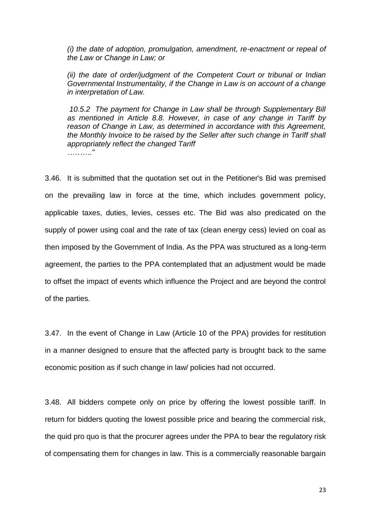*(i) the date of adoption, promulgation, amendment, re-enactment or repeal of the Law or Change in Law; or* 

*(ii) the date of order/judgment of the Competent Court or tribunal or Indian Governmental Instrumentality, if the Change in Law is on account of a change in interpretation of Law.* 

*10.5.2 The payment for Change in Law shall be through Supplementary Bill as mentioned in Article 8.8. However, in case of any change in Tariff by reason of Change in Law, as determined in accordance with this Agreement, the Monthly Invoice to be raised by the Seller after such change in Tariff shall appropriately reflect the changed Tariff ………."* 

3.46. It is submitted that the quotation set out in the Petitioner's Bid was premised on the prevailing law in force at the time, which includes government policy, applicable taxes, duties, levies, cesses etc. The Bid was also predicated on the supply of power using coal and the rate of tax (clean energy cess) levied on coal as then imposed by the Government of India. As the PPA was structured as a long-term agreement, the parties to the PPA contemplated that an adjustment would be made to offset the impact of events which influence the Project and are beyond the control of the parties.

3.47. In the event of Change in Law (Article 10 of the PPA) provides for restitution in a manner designed to ensure that the affected party is brought back to the same economic position as if such change in law/ policies had not occurred.

3.48. All bidders compete only on price by offering the lowest possible tariff. In return for bidders quoting the lowest possible price and bearing the commercial risk, the quid pro quo is that the procurer agrees under the PPA to bear the regulatory risk of compensating them for changes in law. This is a commercially reasonable bargain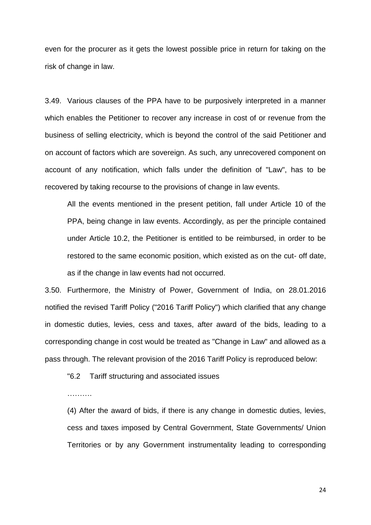even for the procurer as it gets the lowest possible price in return for taking on the risk of change in law.

3.49. Various clauses of the PPA have to be purposively interpreted in a manner which enables the Petitioner to recover any increase in cost of or revenue from the business of selling electricity, which is beyond the control of the said Petitioner and on account of factors which are sovereign. As such, any unrecovered component on account of any notification, which falls under the definition of "Law", has to be recovered by taking recourse to the provisions of change in law events.

All the events mentioned in the present petition, fall under Article 10 of the PPA, being change in law events. Accordingly, as per the principle contained under Article 10.2, the Petitioner is entitled to be reimbursed, in order to be restored to the same economic position, which existed as on the cut- off date, as if the change in law events had not occurred.

3.50. Furthermore, the Ministry of Power, Government of India, on 28.01.2016 notified the revised Tariff Policy ("2016 Tariff Policy") which clarified that any change in domestic duties, levies, cess and taxes, after award of the bids, leading to a corresponding change in cost would be treated as "Change in Law" and allowed as a pass through. The relevant provision of the 2016 Tariff Policy is reproduced below:

"6.2 Tariff structuring and associated issues

…………

(4) After the award of bids, if there is any change in domestic duties, levies, cess and taxes imposed by Central Government, State Governments/ Union Territories or by any Government instrumentality leading to corresponding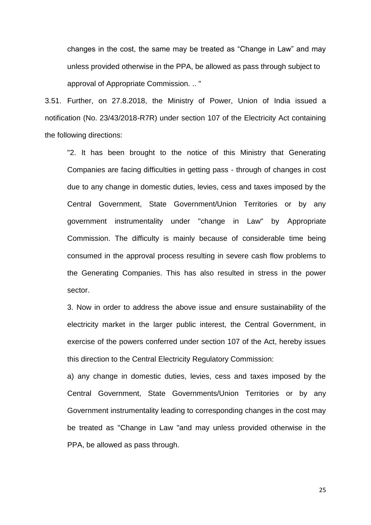changes in the cost, the same may be treated as "Change in Law" and may unless provided otherwise in the PPA, be allowed as pass through subject to approval of Appropriate Commission. .. "

3.51. Further, on 27.8.2018, the Ministry of Power, Union of India issued a notification (No. 23/43/2018-R7R) under section 107 of the Electricity Act containing the following directions:

"2. It has been brought to the notice of this Ministry that Generating Companies are facing difficulties in getting pass - through of changes in cost due to any change in domestic duties, levies, cess and taxes imposed by the Central Government, State Government/Union Territories or by any government instrumentality under "change in Law" by Appropriate Commission. The difficulty is mainly because of considerable time being consumed in the approval process resulting in severe cash flow problems to the Generating Companies. This has also resulted in stress in the power sector.

3. Now in order to address the above issue and ensure sustainability of the electricity market in the larger public interest, the Central Government, in exercise of the powers conferred under section 107 of the Act, hereby issues this direction to the Central Electricity Regulatory Commission:

a) any change in domestic duties, levies, cess and taxes imposed by the Central Government, State Governments/Union Territories or by any Government instrumentality leading to corresponding changes in the cost may be treated as "Change in Law "and may unless provided otherwise in the PPA, be allowed as pass through.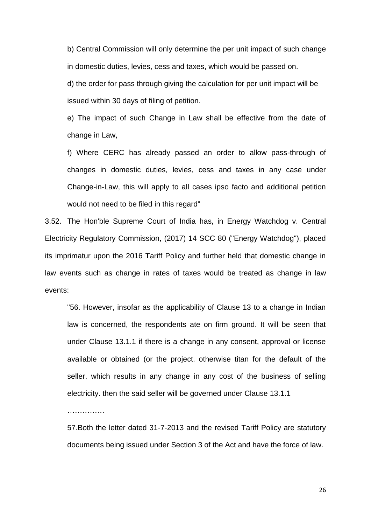b) Central Commission will only determine the per unit impact of such change in domestic duties, levies, cess and taxes, which would be passed on.

d) the order for pass through giving the calculation for per unit impact will be issued within 30 days of filing of petition.

e) The impact of such Change in Law shall be effective from the date of change in Law,

f) Where CERC has already passed an order to allow pass-through of changes in domestic duties, levies, cess and taxes in any case under Change-in-Law, this will apply to all cases ipso facto and additional petition would not need to be filed in this regard"

3.52. The Hon'ble Supreme Court of India has, in Energy Watchdog v. Central Electricity Regulatory Commission, (2017) 14 SCC 80 ("Energy Watchdog"), placed its imprimatur upon the 2016 Tariff Policy and further held that domestic change in law events such as change in rates of taxes would be treated as change in law events:

"56. However, insofar as the applicability of Clause 13 to a change in Indian law is concerned, the respondents ate on firm ground. It will be seen that under Clause 13.1.1 if there is a change in any consent, approval or license available or obtained (or the project. otherwise titan for the default of the seller. which results in any change in any cost of the business of selling electricity. then the said seller will be governed under Clause 13.1.1

………………

57.Both the letter dated 31-7-2013 and the revised Tariff Policy are statutory documents being issued under Section 3 of the Act and have the force of law.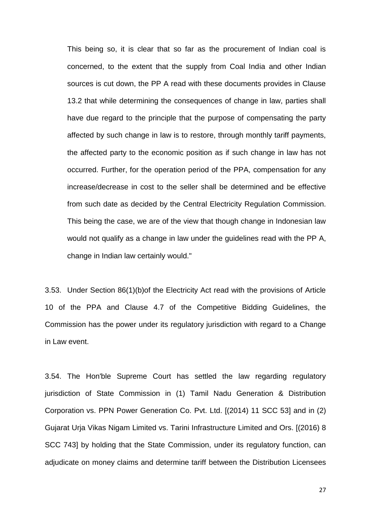This being so, it is clear that so far as the procurement of Indian coal is concerned, to the extent that the supply from Coal India and other Indian sources is cut down, the PP A read with these documents provides in Clause 13.2 that while determining the consequences of change in law, parties shall have due regard to the principle that the purpose of compensating the party affected by such change in law is to restore, through monthly tariff payments, the affected party to the economic position as if such change in law has not occurred. Further, for the operation period of the PPA, compensation for any increase/decrease in cost to the seller shall be determined and be effective from such date as decided by the Central Electricity Regulation Commission. This being the case, we are of the view that though change in Indonesian law would not qualify as a change in law under the guidelines read with the PP A, change in Indian law certainly would."

3.53. Under Section 86(1)(b)of the Electricity Act read with the provisions of Article 10 of the PPA and Clause 4.7 of the Competitive Bidding Guidelines, the Commission has the power under its regulatory jurisdiction with regard to a Change in Law event.

3.54. The Hon'ble Supreme Court has settled the law regarding regulatory jurisdiction of State Commission in (1) Tamil Nadu Generation & Distribution Corporation vs. PPN Power Generation Co. Pvt. Ltd. [(2014) 11 SCC 53] and in (2) Gujarat Urja Vikas Nigam Limited vs. Tarini Infrastructure Limited and Ors. [(2016) 8 SCC 743] by holding that the State Commission, under its regulatory function, can adjudicate on money claims and determine tariff between the Distribution Licensees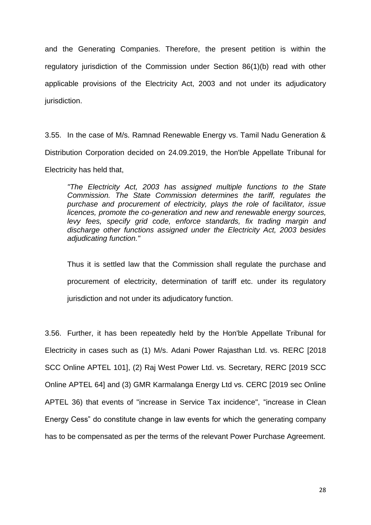and the Generating Companies. Therefore, the present petition is within the regulatory jurisdiction of the Commission under Section 86(1)(b) read with other applicable provisions of the Electricity Act, 2003 and not under its adjudicatory jurisdiction.

3.55. In the case of M/s. Ramnad Renewable Energy vs. Tamil Nadu Generation & Distribution Corporation decided on 24.09.2019, the Hon'ble Appellate Tribunal for Electricity has held that,

*"The Electricity Act, 2003 has assigned multiple functions to the State Commission. The State Commission determines the tariff, regulates the purchase and procurement of electricity, plays the role of facilitator, issue licences, promote the co-generation and new and renewable energy sources, levy fees, specify grid code, enforce standards, fix trading margin and discharge other functions assigned under the Electricity Act, 2003 besides adjudicating function."* 

Thus it is settled law that the Commission shall regulate the purchase and procurement of electricity, determination of tariff etc. under its regulatory jurisdiction and not under its adjudicatory function.

3.56. Further, it has been repeatedly held by the Hon'ble Appellate Tribunal for Electricity in cases such as (1) M/s. Adani Power Rajasthan Ltd. vs. RERC [2018 SCC Online APTEL 101], (2) Raj West Power Ltd. vs. Secretary, RERC [2019 SCC Online APTEL 64] and (3) GMR Karmalanga Energy Ltd vs. CERC [2019 sec Online APTEL 36) that events of "increase in Service Tax incidence", "increase in Clean Energy Cess" do constitute change in law events for which the generating company has to be compensated as per the terms of the relevant Power Purchase Agreement.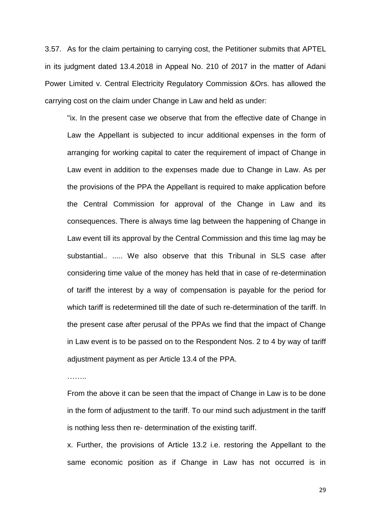3.57. As for the claim pertaining to carrying cost, the Petitioner submits that APTEL in its judgment dated 13.4.2018 in Appeal No. 210 of 2017 in the matter of Adani Power Limited v. Central Electricity Regulatory Commission &Ors. has allowed the carrying cost on the claim under Change in Law and held as under:

"ix. In the present case we observe that from the effective date of Change in Law the Appellant is subjected to incur additional expenses in the form of arranging for working capital to cater the requirement of impact of Change in Law event in addition to the expenses made due to Change in Law. As per the provisions of the PPA the Appellant is required to make application before the Central Commission for approval of the Change in Law and its consequences. There is always time lag between the happening of Change in Law event till its approval by the Central Commission and this time lag may be substantial.. ..... We also observe that this Tribunal in SLS case after considering time value of the money has held that in case of re-determination of tariff the interest by a way of compensation is payable for the period for which tariff is redetermined till the date of such re-determination of the tariff. In the present case after perusal of the PPAs we find that the impact of Change in Law event is to be passed on to the Respondent Nos. 2 to 4 by way of tariff adjustment payment as per Article 13.4 of the PPA.

……..

From the above it can be seen that the impact of Change in Law is to be done in the form of adjustment to the tariff. To our mind such adjustment in the tariff is nothing less then re- determination of the existing tariff.

x. Further, the provisions of Article 13.2 i.e. restoring the Appellant to the same economic position as if Change in Law has not occurred is in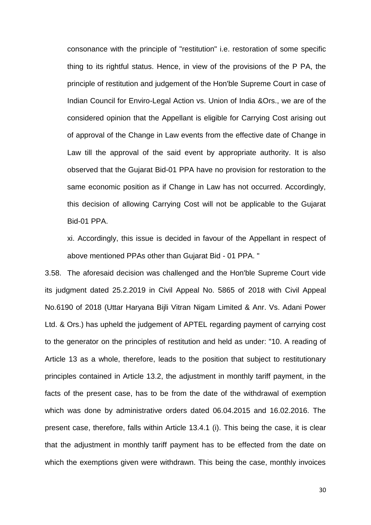consonance with the principle of "restitution" i.e. restoration of some specific thing to its rightful status. Hence, in view of the provisions of the P PA, the principle of restitution and judgement of the Hon'ble Supreme Court in case of Indian Council for Enviro-Legal Action vs. Union of India &Ors., we are of the considered opinion that the Appellant is eligible for Carrying Cost arising out of approval of the Change in Law events from the effective date of Change in Law till the approval of the said event by appropriate authority. It is also observed that the Gujarat Bid-01 PPA have no provision for restoration to the same economic position as if Change in Law has not occurred. Accordingly, this decision of allowing Carrying Cost will not be applicable to the Gujarat Bid-01 PPA.

xi. Accordingly, this issue is decided in favour of the Appellant in respect of above mentioned PPAs other than Gujarat Bid - 01 PPA. "

3.58. The aforesaid decision was challenged and the Hon'ble Supreme Court vide its judgment dated 25.2.2019 in Civil Appeal No. 5865 of 2018 with Civil Appeal No.6190 of 2018 (Uttar Haryana Bijli Vitran Nigam Limited & Anr. Vs. Adani Power Ltd. & Ors.) has upheld the judgement of APTEL regarding payment of carrying cost to the generator on the principles of restitution and held as under: "10. A reading of Article 13 as a whole, therefore, leads to the position that subject to restitutionary principles contained in Article 13.2, the adjustment in monthly tariff payment, in the facts of the present case, has to be from the date of the withdrawal of exemption which was done by administrative orders dated 06.04.2015 and 16.02.2016. The present case, therefore, falls within Article 13.4.1 (i). This being the case, it is clear that the adjustment in monthly tariff payment has to be effected from the date on which the exemptions given were withdrawn. This being the case, monthly invoices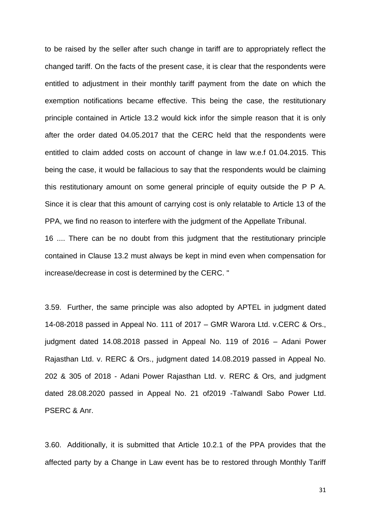to be raised by the seller after such change in tariff are to appropriately reflect the changed tariff. On the facts of the present case, it is clear that the respondents were entitled to adjustment in their monthly tariff payment from the date on which the exemption notifications became effective. This being the case, the restitutionary principle contained in Article 13.2 would kick infor the simple reason that it is only after the order dated 04.05.2017 that the CERC held that the respondents were entitled to claim added costs on account of change in law w.e.f 01.04.2015. This being the case, it would be fallacious to say that the respondents would be claiming this restitutionary amount on some general principle of equity outside the P P A. Since it is clear that this amount of carrying cost is only relatable to Article 13 of the PPA, we find no reason to interfere with the judgment of the Appellate Tribunal.

16 .... There can be no doubt from this judgment that the restitutionary principle contained in Clause 13.2 must always be kept in mind even when compensation for increase/decrease in cost is determined by the CERC. "

3.59. Further, the same principle was also adopted by APTEL in judgment dated 14-08-2018 passed in Appeal No. 111 of 2017 – GMR Warora Ltd. v.CERC & Ors., judgment dated 14.08.2018 passed in Appeal No. 119 of 2016 – Adani Power Rajasthan Ltd. v. RERC & Ors., judgment dated 14.08.2019 passed in Appeal No. 202 & 305 of 2018 - Adani Power Rajasthan Ltd. v. RERC & Ors, and judgment dated 28.08.2020 passed in Appeal No. 21 of2019 -Talwandl Sabo Power Ltd. PSERC & Anr.

3.60. Additionally, it is submitted that Article 10.2.1 of the PPA provides that the affected party by a Change in Law event has be to restored through Monthly Tariff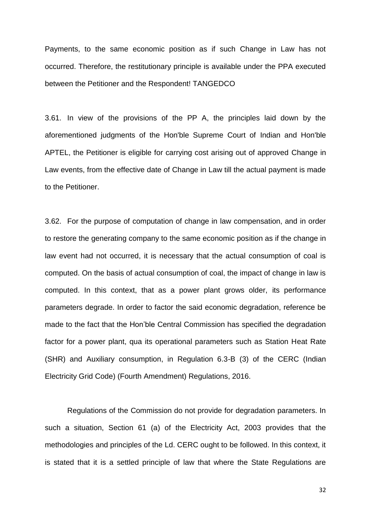Payments, to the same economic position as if such Change in Law has not occurred. Therefore, the restitutionary principle is available under the PPA executed between the Petitioner and the Respondent! TANGEDCO

3.61. In view of the provisions of the PP A, the principles laid down by the aforementioned judgments of the Hon'ble Supreme Court of Indian and Hon'ble APTEL, the Petitioner is eligible for carrying cost arising out of approved Change in Law events, from the effective date of Change in Law till the actual payment is made to the Petitioner.

3.62. For the purpose of computation of change in law compensation, and in order to restore the generating company to the same economic position as if the change in law event had not occurred, it is necessary that the actual consumption of coal is computed. On the basis of actual consumption of coal, the impact of change in law is computed. In this context, that as a power plant grows older, its performance parameters degrade. In order to factor the said economic degradation, reference be made to the fact that the Hon'ble Central Commission has specified the degradation factor for a power plant, qua its operational parameters such as Station Heat Rate (SHR) and Auxiliary consumption, in Regulation 6.3-B (3) of the CERC (Indian Electricity Grid Code) (Fourth Amendment) Regulations, 2016.

Regulations of the Commission do not provide for degradation parameters. In such a situation, Section 61 (a) of the Electricity Act, 2003 provides that the methodologies and principles of the Ld. CERC ought to be followed. In this context, it is stated that it is a settled principle of law that where the State Regulations are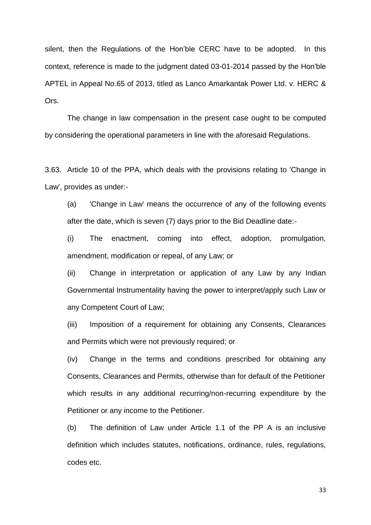silent, then the Regulations of the Hon'ble CERC have to be adopted. In this context, reference is made to the judgment dated 03-01-2014 passed by the Hon'ble APTEL in Appeal No.65 of 2013, titled as Lanco Amarkantak Power Ltd. v. HERC & Ors.

The change in law compensation in the present case ought to be computed by considering the operational parameters in line with the aforesaid Regulations.

3.63. Article 10 of the PPA, which deals with the provisions relating to 'Change in Law', provides as under:-

(a) 'Change in Law' means the occurrence of any of the following events after the date, which is seven (7) days prior to the Bid Deadline date:-

(i) The enactment, coming into effect, adoption, promulgation, amendment, modification or repeal, of any Law; or

(ii) Change in interpretation or application of any Law by any Indian Governmental Instrumentality having the power to interpret/apply such Law or any Competent Court of Law;

(iii) Imposition of a requirement for obtaining any Consents, Clearances and Permits which were not previously required; or

(iv) Change in the terms and conditions prescribed for obtaining any Consents, Clearances and Permits, otherwise than for default of the Petitioner which results in any additional recurring/non-recurring expenditure by the Petitioner or any income to the Petitioner.

(b) The definition of Law under Article 1.1 of the PP A is an inclusive definition which includes statutes, notifications, ordinance, rules, regulations, codes etc.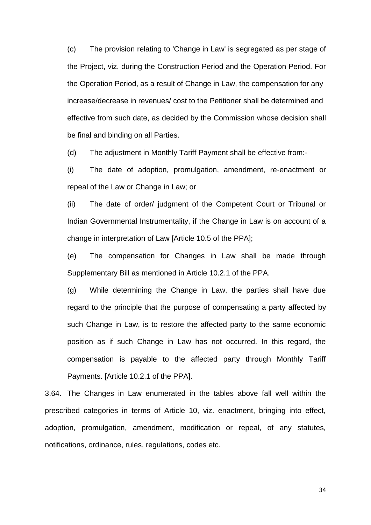(c) The provision relating to 'Change in Law' is segregated as per stage of the Project, viz. during the Construction Period and the Operation Period. For the Operation Period, as a result of Change in Law, the compensation for any increase/decrease in revenues/ cost to the Petitioner shall be determined and effective from such date, as decided by the Commission whose decision shall be final and binding on all Parties.

(d) The adjustment in Monthly Tariff Payment shall be effective from:-

(i) The date of adoption, promulgation, amendment, re-enactment or repeal of the Law or Change in Law; or

(ii) The date of order/ judgment of the Competent Court or Tribunal or Indian Governmental Instrumentality, if the Change in Law is on account of a change in interpretation of Law [Article 10.5 of the PPA];

(e) The compensation for Changes in Law shall be made through Supplementary Bill as mentioned in Article 10.2.1 of the PPA.

(g) While determining the Change in Law, the parties shall have due regard to the principle that the purpose of compensating a party affected by such Change in Law, is to restore the affected party to the same economic position as if such Change in Law has not occurred. In this regard, the compensation is payable to the affected party through Monthly Tariff Payments. [Article 10.2.1 of the PPA].

3.64. The Changes in Law enumerated in the tables above fall well within the prescribed categories in terms of Article 10, viz. enactment, bringing into effect, adoption, promulgation, amendment, modification or repeal, of any statutes, notifications, ordinance, rules, regulations, codes etc.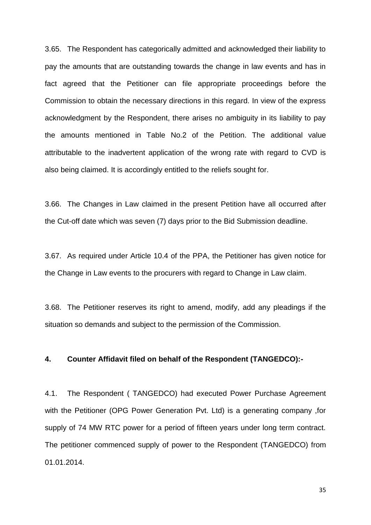3.65. The Respondent has categorically admitted and acknowledged their liability to pay the amounts that are outstanding towards the change in law events and has in fact agreed that the Petitioner can file appropriate proceedings before the Commission to obtain the necessary directions in this regard. In view of the express acknowledgment by the Respondent, there arises no ambiguity in its liability to pay the amounts mentioned in Table No.2 of the Petition. The additional value attributable to the inadvertent application of the wrong rate with regard to CVD is also being claimed. It is accordingly entitled to the reliefs sought for.

3.66. The Changes in Law claimed in the present Petition have all occurred after the Cut-off date which was seven (7) days prior to the Bid Submission deadline.

3.67. As required under Article 10.4 of the PPA, the Petitioner has given notice for the Change in Law events to the procurers with regard to Change in Law claim.

3.68. The Petitioner reserves its right to amend, modify, add any pleadings if the situation so demands and subject to the permission of the Commission.

#### **4. Counter Affidavit filed on behalf of the Respondent (TANGEDCO):-**

4.1. The Respondent ( TANGEDCO) had executed Power Purchase Agreement with the Petitioner (OPG Power Generation Pvt. Ltd) is a generating company ,for supply of 74 MW RTC power for a period of fifteen years under long term contract. The petitioner commenced supply of power to the Respondent (TANGEDCO) from 01.01.2014.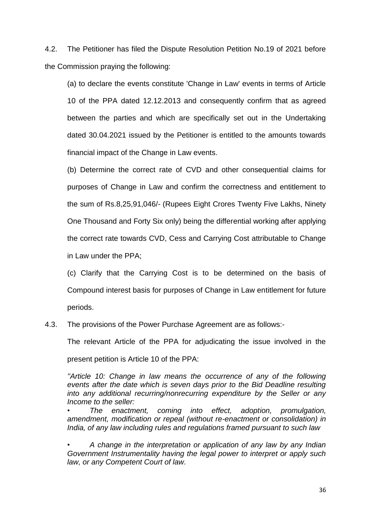4.2. The Petitioner has filed the Dispute Resolution Petition No.19 of 2021 before the Commission praying the following:

(a) to declare the events constitute 'Change in Law' events in terms of Article 10 of the PPA dated 12.12.2013 and consequently confirm that as agreed between the parties and which are specifically set out in the Undertaking dated 30.04.2021 issued by the Petitioner is entitled to the amounts towards financial impact of the Change in Law events.

(b) Determine the correct rate of CVD and other consequential claims for purposes of Change in Law and confirm the correctness and entitlement to the sum of Rs.8,25,91,046/- (Rupees Eight Crores Twenty Five Lakhs, Ninety One Thousand and Forty Six only) being the differential working after applying the correct rate towards CVD, Cess and Carrying Cost attributable to Change in Law under the PPA;

(c) Clarify that the Carrying Cost is to be determined on the basis of Compound interest basis for purposes of Change in Law entitlement for future periods.

4.3. The provisions of the Power Purchase Agreement are as follows:-

The relevant Article of the PPA for adjudicating the issue involved in the

present petition is Article 10 of the PPA:

*''Article 10: Change in law means the occurrence of any of the following events after the date which is seven days prior to the Bid Deadline resulting into any additional recurring/nonrecurring expenditure by the Seller or any Income to the seller:* 

*• The enactment, coming into effect, adoption, promulgation, amendment, modification or repeal (without re-enactment or consolidation) in India, of any law including rules and regulations framed pursuant to such law* 

*• A change in the interpretation or application of any law by any Indian Government Instrumentality having the legal power to interpret or apply such law, or any Competent Court of law.*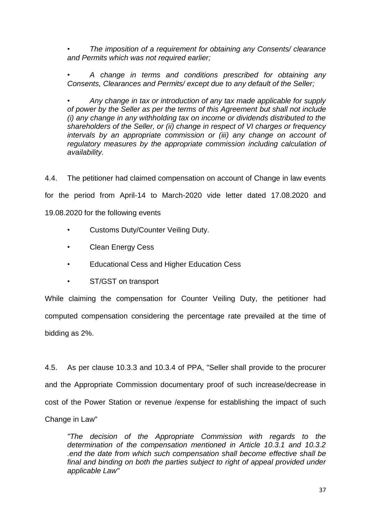*• The imposition of a requirement for obtaining any Consents/ clearance and Permits which was not required earlier;*

*• A change in terms and conditions prescribed for obtaining any Consents, Clearances and Permits/ except due to any default of the Seller;*

*• Any change in tax or introduction of any tax made applicable for supply of power by the Seller as per the terms of this Agreement but shall not include (i) any change in any withholding tax on income or dividends distributed to the shareholders of the Seller, or (ii) change in respect of VI charges or frequency intervals by an appropriate commission or (iii) any change on account of regulatory measures by the appropriate commission including calculation of availability.* 

4.4. The petitioner had claimed compensation on account of Change in law events for the period from April-14 to March-2020 vide letter dated 17.08.2020 and 19.08.2020 for the following events

- Customs Duty/Counter Veiling Duty.
- Clean Energy Cess
- Educational Cess and Higher Education Cess
- ST/GST on transport

While claiming the compensation for Counter Veiling Duty, the petitioner had computed compensation considering the percentage rate prevailed at the time of bidding as 2%.

4.5. As per clause 10.3.3 and 10.3.4 of PPA, "Seller shall provide to the procurer and the Appropriate Commission documentary proof of such increase/decrease in cost of the Power Station or revenue /expense for establishing the impact of such Change in Law"

*"The decision of the Appropriate Commission with regards to the determination of the compensation mentioned in Article 10.3.1 and 10.3.2 .end the date from which such compensation shall become effective shall be*  final and binding on both the parties subject to right of appeal provided under *applicable Law"*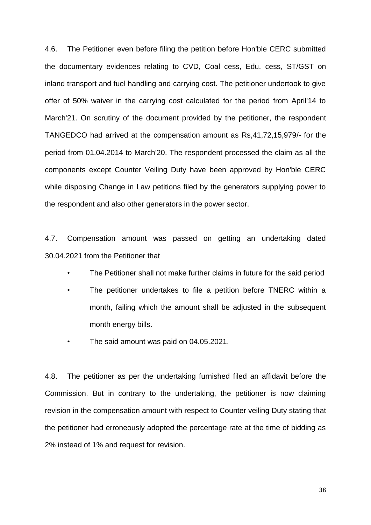4.6. The Petitioner even before filing the petition before Hon'ble CERC submitted the documentary evidences relating to CVD, Coal cess, Edu. cess, ST/GST on inland transport and fuel handling and carrying cost. The petitioner undertook to give offer of 50% waiver in the carrying cost calculated for the period from April'14 to March'21. On scrutiny of the document provided by the petitioner, the respondent TANGEDCO had arrived at the compensation amount as Rs,41,72,15,979/- for the period from 01.04.2014 to March'20. The respondent processed the claim as all the components except Counter Veiling Duty have been approved by Hon'ble CERC while disposing Change in Law petitions filed by the generators supplying power to the respondent and also other generators in the power sector.

4.7. Compensation amount was passed on getting an undertaking dated 30.04.2021 from the Petitioner that

- The Petitioner shall not make further claims in future for the said period
- The petitioner undertakes to file a petition before TNERC within a month, failing which the amount shall be adjusted in the subsequent month energy bills.
- The said amount was paid on 04.05.2021.

4.8. The petitioner as per the undertaking furnished filed an affidavit before the Commission. But in contrary to the undertaking, the petitioner is now claiming revision in the compensation amount with respect to Counter veiling Duty stating that the petitioner had erroneously adopted the percentage rate at the time of bidding as 2% instead of 1% and request for revision.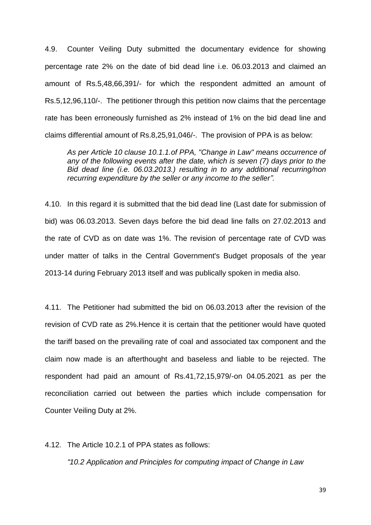4.9. Counter Veiling Duty submitted the documentary evidence for showing percentage rate 2% on the date of bid dead line i.e. 06.03.2013 and claimed an amount of Rs.5,48,66,391/- for which the respondent admitted an amount of Rs.5,12,96,110/-. The petitioner through this petition now claims that the percentage rate has been erroneously furnished as 2% instead of 1% on the bid dead line and claims differential amount of Rs.8,25,91,046/-. The provision of PPA is as below:

*As per Article 10 clause 10.1.1.of PPA, "Change in Law" means occurrence of any of the following events after the date, which is seven (7) days prior to the Bid dead line (i.e. 06.03.2013.) resulting in to any additional recurring/non recurring expenditure by the seller or any income to the seller".* 

4.10. In this regard it is submitted that the bid dead line (Last date for submission of bid) was 06.03.2013. Seven days before the bid dead line falls on 27.02.2013 and the rate of CVD as on date was 1%. The revision of percentage rate of CVD was under matter of talks in the Central Government's Budget proposals of the year 2013-14 during February 2013 itself and was publically spoken in media also.

4.11. The Petitioner had submitted the bid on 06.03.2013 after the revision of the revision of CVD rate as 2%.Hence it is certain that the petitioner would have quoted the tariff based on the prevailing rate of coal and associated tax component and the claim now made is an afterthought and baseless and liable to be rejected. The respondent had paid an amount of Rs.41,72,15,979/-on 04.05.2021 as per the reconciliation carried out between the parties which include compensation for Counter Veiling Duty at 2%.

4.12. The Article 10.2.1 of PPA states as follows:

*"10.2 Application and Principles for computing impact of Change in Law*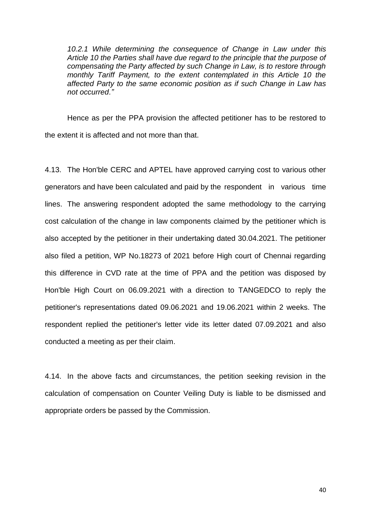*10.2.1 While determining the consequence of Change in Law under this Article 10 the Parties shall have due regard to the principle that the purpose of compensating the Party affected by such Change in Law, is to restore through monthly Tariff Payment, to the extent contemplated in this Article 10 the affected Party to the same economic position as if such Change in Law has not occurred."*

Hence as per the PPA provision the affected petitioner has to be restored to the extent it is affected and not more than that.

4.13. The Hon'ble CERC and APTEL have approved carrying cost to various other generators and have been calculated and paid by the respondent in various time lines. The answering respondent adopted the same methodology to the carrying cost calculation of the change in law components claimed by the petitioner which is also accepted by the petitioner in their undertaking dated 30.04.2021. The petitioner also filed a petition, WP No.18273 of 2021 before High court of Chennai regarding this difference in CVD rate at the time of PPA and the petition was disposed by Hon'ble High Court on 06.09.2021 with a direction to TANGEDCO to reply the petitioner's representations dated 09.06.2021 and 19.06.2021 within 2 weeks. The respondent replied the petitioner's letter vide its letter dated 07.09.2021 and also conducted a meeting as per their claim.

4.14. In the above facts and circumstances, the petition seeking revision in the calculation of compensation on Counter Veiling Duty is liable to be dismissed and appropriate orders be passed by the Commission.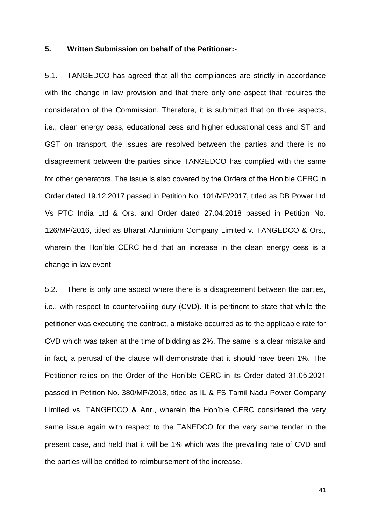## **5. Written Submission on behalf of the Petitioner:-**

5.1. TANGEDCO has agreed that all the compliances are strictly in accordance with the change in law provision and that there only one aspect that requires the consideration of the Commission. Therefore, it is submitted that on three aspects, i.e., clean energy cess, educational cess and higher educational cess and ST and GST on transport, the issues are resolved between the parties and there is no disagreement between the parties since TANGEDCO has complied with the same for other generators. The issue is also covered by the Orders of the Hon'ble CERC in Order dated 19.12.2017 passed in Petition No. 101/MP/2017, titled as DB Power Ltd Vs PTC India Ltd & Ors. and Order dated 27.04.2018 passed in Petition No. 126/MP/2016, titled as Bharat Aluminium Company Limited v. TANGEDCO & Ors., wherein the Hon'ble CERC held that an increase in the clean energy cess is a change in law event.

5.2. There is only one aspect where there is a disagreement between the parties, i.e., with respect to countervailing duty (CVD). It is pertinent to state that while the petitioner was executing the contract, a mistake occurred as to the applicable rate for CVD which was taken at the time of bidding as 2%. The same is a clear mistake and in fact, a perusal of the clause will demonstrate that it should have been 1%. The Petitioner relies on the Order of the Hon'ble CERC in its Order dated 31.05.2021 passed in Petition No. 380/MP/2018, titled as IL & FS Tamil Nadu Power Company Limited vs. TANGEDCO & Anr., wherein the Hon'ble CERC considered the very same issue again with respect to the TANEDCO for the very same tender in the present case, and held that it will be 1% which was the prevailing rate of CVD and the parties will be entitled to reimbursement of the increase.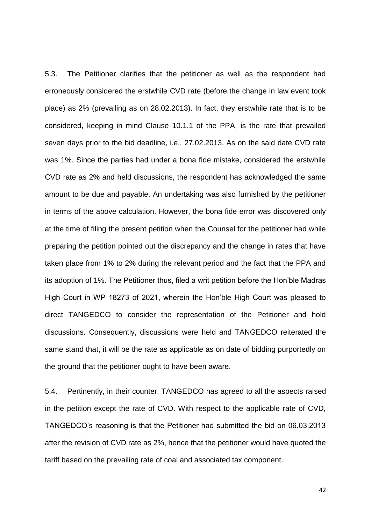5.3. The Petitioner clarifies that the petitioner as well as the respondent had erroneously considered the erstwhile CVD rate (before the change in law event took place) as 2% (prevailing as on 28.02.2013). In fact, they erstwhile rate that is to be considered, keeping in mind Clause 10.1.1 of the PPA, is the rate that prevailed seven days prior to the bid deadline, i.e., 27.02.2013. As on the said date CVD rate was 1%. Since the parties had under a bona fide mistake, considered the erstwhile CVD rate as 2% and held discussions, the respondent has acknowledged the same amount to be due and payable. An undertaking was also furnished by the petitioner in terms of the above calculation. However, the bona fide error was discovered only at the time of filing the present petition when the Counsel for the petitioner had while preparing the petition pointed out the discrepancy and the change in rates that have taken place from 1% to 2% during the relevant period and the fact that the PPA and its adoption of 1%. The Petitioner thus, filed a writ petition before the Hon'ble Madras High Court in WP 18273 of 2021, wherein the Hon'ble High Court was pleased to direct TANGEDCO to consider the representation of the Petitioner and hold discussions. Consequently, discussions were held and TANGEDCO reiterated the same stand that, it will be the rate as applicable as on date of bidding purportedly on the ground that the petitioner ought to have been aware.

5.4. Pertinently, in their counter, TANGEDCO has agreed to all the aspects raised in the petition except the rate of CVD. With respect to the applicable rate of CVD, TANGEDCO's reasoning is that the Petitioner had submitted the bid on 06.03.2013 after the revision of CVD rate as 2%, hence that the petitioner would have quoted the tariff based on the prevailing rate of coal and associated tax component.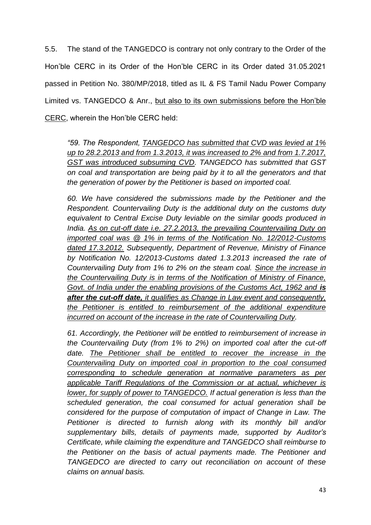5.5. The stand of the TANGEDCO is contrary not only contrary to the Order of the Hon'ble CERC in its Order of the Hon'ble CERC in its Order dated 31.05.2021 passed in Petition No. 380/MP/2018, titled as IL & FS Tamil Nadu Power Company Limited vs. TANGEDCO & Anr., but also to its own submissions before the Hon'ble CERC, wherein the Hon'ble CERC held:

*"59. The Respondent, TANGEDCO has submitted that CVD was levied at 1% up to 28.2.2013 and from 1.3.2013, it was increased to 2% and from 1.7.2017, GST was introduced subsuming CVD. TANGEDCO has submitted that GST on coal and transportation are being paid by it to all the generators and that the generation of power by the Petitioner is based on imported coal.*

*60. We have considered the submissions made by the Petitioner and the Respondent. Countervailing Duty is the additional duty on the customs duty equivalent to Central Excise Duty leviable on the similar goods produced in India. As on cut-off date i.e. 27.2.2013, the prevailing Countervailing Duty on imported coal was @ 1% in terms of the Notification No. 12/2012-Customs dated 17.3.2012. Subsequently, Department of Revenue, Ministry of Finance by Notification No. 12/2013-Customs dated 1.3.2013 increased the rate of Countervailing Duty from 1% to 2% on the steam coal. Since the increase in the Countervailing Duty is in terms of the Notification of Ministry of Finance,*  Govt. of India under the enabling provisions of the Customs Act, 1962 and *is after the cut-off date, it qualifies as Change in Law event and consequently, the Petitioner is entitled to reimbursement of the additional expenditure incurred on account of the increase in the rate of Countervailing Duty.* 

*61. Accordingly, the Petitioner will be entitled to reimbursement of increase in the Countervailing Duty (from 1% to 2%) on imported coal after the cut-off*  date. The Petitioner shall be entitled to recover the increase in the *Countervailing Duty on imported coal in proportion to the coal consumed corresponding to schedule generation at normative parameters as per applicable Tariff Regulations of the Commission or at actual, whichever is lower, for supply of power to TANGEDCO. If actual generation is less than the scheduled generation, the coal consumed for actual generation shall be considered for the purpose of computation of impact of Change in Law. The Petitioner is directed to furnish along with its monthly bill and/or supplementary bills, details of payments made, supported by Auditor's Certificate, while claiming the expenditure and TANGEDCO shall reimburse to the Petitioner on the basis of actual payments made. The Petitioner and TANGEDCO are directed to carry out reconciliation on account of these claims on annual basis.*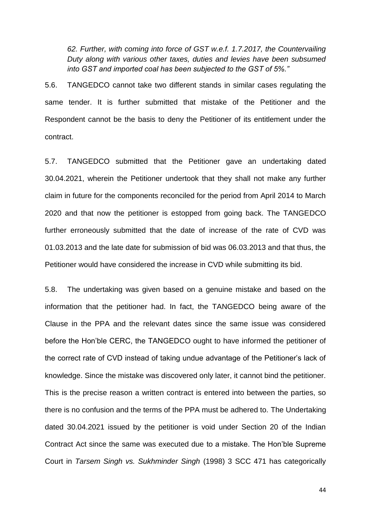*62. Further, with coming into force of GST w.e.f. 1.7.2017, the Countervailing Duty along with various other taxes, duties and levies have been subsumed into GST and imported coal has been subjected to the GST of 5%."*

5.6. TANGEDCO cannot take two different stands in similar cases regulating the same tender. It is further submitted that mistake of the Petitioner and the Respondent cannot be the basis to deny the Petitioner of its entitlement under the contract.

5.7. TANGEDCO submitted that the Petitioner gave an undertaking dated 30.04.2021, wherein the Petitioner undertook that they shall not make any further claim in future for the components reconciled for the period from April 2014 to March 2020 and that now the petitioner is estopped from going back. The TANGEDCO further erroneously submitted that the date of increase of the rate of CVD was 01.03.2013 and the late date for submission of bid was 06.03.2013 and that thus, the Petitioner would have considered the increase in CVD while submitting its bid.

5.8. The undertaking was given based on a genuine mistake and based on the information that the petitioner had. In fact, the TANGEDCO being aware of the Clause in the PPA and the relevant dates since the same issue was considered before the Hon'ble CERC, the TANGEDCO ought to have informed the petitioner of the correct rate of CVD instead of taking undue advantage of the Petitioner's lack of knowledge. Since the mistake was discovered only later, it cannot bind the petitioner. This is the precise reason a written contract is entered into between the parties, so there is no confusion and the terms of the PPA must be adhered to. The Undertaking dated 30.04.2021 issued by the petitioner is void under Section 20 of the Indian Contract Act since the same was executed due to a mistake. The Hon'ble Supreme Court in *Tarsem Singh vs. Sukhminder Singh* (1998) 3 SCC 471 has categorically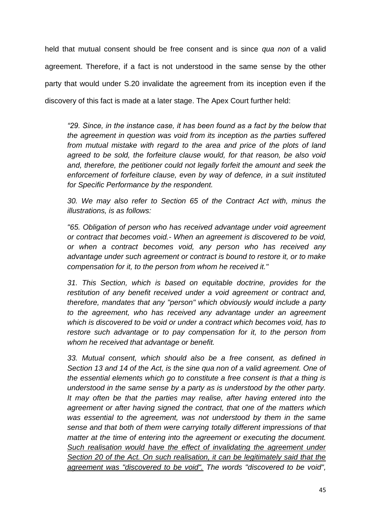held that mutual consent should be free consent and is since *qua non* of a valid agreement. Therefore, if a fact is not understood in the same sense by the other party that would under S.20 invalidate the agreement from its inception even if the discovery of this fact is made at a later stage. The Apex Court further held:

*"29. Since, in the instance case, it has been found as a fact by the below that the agreement in question was void from its inception as the parties suffered from mutual mistake with regard to the area and price of the plots of land agreed to be sold, the forfeiture clause would, for that reason, be also void and, therefore, the petitioner could not legally forfeit the amount and seek the enforcement of forfeiture clause, even by way of defence, in a suit instituted for Specific Performance by the respondent.*

*30. We may also refer to Section 65 of the Contract Act with, minus the illustrations, is as follows:*

*"65. Obligation of person who has received advantage under void agreement or contract that becomes void.- When an agreement is discovered to be void, or when a contract becomes void, any person who has received any advantage under such agreement or contract is bound to restore it, or to make compensation for it, to the person from whom he received it."*

*31. This Section, which is based on equitable doctrine, provides for the restitution of any benefit received under a void agreement or contract and, therefore, mandates that any "person" which obviously would include a party to the agreement, who has received any advantage under an agreement which is discovered to be void or under a contract which becomes void, has to restore such advantage or to pay compensation for it, to the person from whom he received that advantage or benefit.*

*33. Mutual consent, which should also be a free consent, as defined in Section 13 and 14 of the Act, is the sine qua non of a valid agreement. One of the essential elements which go to constitute a free consent is that a thing is understood in the same sense by a party as is understood by the other party. It may often be that the parties may realise, after having entered into the agreement or after having signed the contract, that one of the matters which was essential to the agreement, was not understood by them in the same sense and that both of them were carrying totally different impressions of that matter at the time of entering into the agreement or executing the document. Such realisation would have the effect of invalidating the agreement under Section 20 of the Act. On such realisation, it can be legitimately said that the agreement was "discovered to be void". The words "discovered to be void",*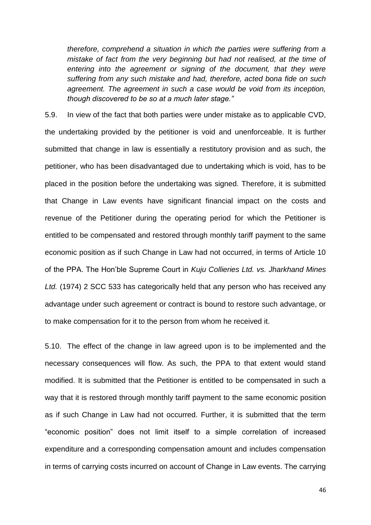*therefore, comprehend a situation in which the parties were suffering from a mistake of fact from the very beginning but had not realised, at the time of*  entering into the agreement or signing of the document, that they were *suffering from any such mistake and had, therefore, acted bona fide on such agreement. The agreement in such a case would be void from its inception, though discovered to be so at a much later stage."*

5.9. In view of the fact that both parties were under mistake as to applicable CVD, the undertaking provided by the petitioner is void and unenforceable. It is further submitted that change in law is essentially a restitutory provision and as such, the petitioner, who has been disadvantaged due to undertaking which is void, has to be placed in the position before the undertaking was signed. Therefore, it is submitted that Change in Law events have significant financial impact on the costs and revenue of the Petitioner during the operating period for which the Petitioner is entitled to be compensated and restored through monthly tariff payment to the same economic position as if such Change in Law had not occurred, in terms of Article 10 of the PPA. The Hon'ble Supreme Court in *Kuju Collieries Ltd. vs. Jharkhand Mines Ltd.* (1974) 2 SCC 533 has categorically held that any person who has received any advantage under such agreement or contract is bound to restore such advantage, or to make compensation for it to the person from whom he received it.

5.10. The effect of the change in law agreed upon is to be implemented and the necessary consequences will flow. As such, the PPA to that extent would stand modified. It is submitted that the Petitioner is entitled to be compensated in such a way that it is restored through monthly tariff payment to the same economic position as if such Change in Law had not occurred. Further, it is submitted that the term "economic position" does not limit itself to a simple correlation of increased expenditure and a corresponding compensation amount and includes compensation in terms of carrying costs incurred on account of Change in Law events. The carrying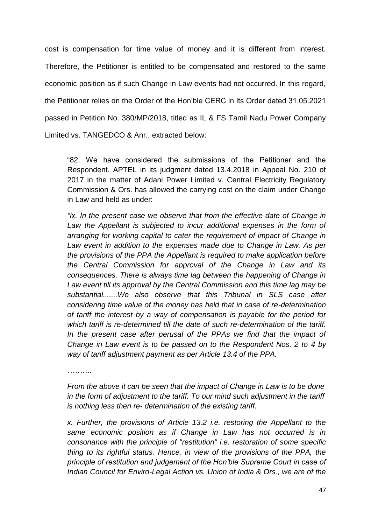cost is compensation for time value of money and it is different from interest. Therefore, the Petitioner is entitled to be compensated and restored to the same economic position as if such Change in Law events had not occurred. In this regard, the Petitioner relies on the Order of the Hon'ble CERC in its Order dated 31.05.2021 passed in Petition No. 380/MP/2018, titled as IL & FS Tamil Nadu Power Company Limited vs. TANGEDCO & Anr., extracted below:

"82. We have considered the submissions of the Petitioner and the Respondent. APTEL in its judgment dated 13.4.2018 in Appeal No. 210 of 2017 in the matter of Adani Power Limited v. Central Electricity Regulatory Commission & Ors. has allowed the carrying cost on the claim under Change in Law and held as under:

*"ix. In the present case we observe that from the effective date of Change in*  Law the Appellant is subjected to incur additional expenses in the form of *arranging for working capital to cater the requirement of impact of Change in Law event in addition to the expenses made due to Change in Law. As per the provisions of the PPA the Appellant is required to make application before the Central Commission for approval of the Change in Law and its consequences. There is always time lag between the happening of Change in Law event till its approval by the Central Commission and this time lag may be substantial.......We also observe that this Tribunal in SLS case after considering time value of the money has held that in case of re-determination of tariff the interest by a way of compensation is payable for the period for which tariff is re-determined till the date of such re-determination of the tariff. In the present case after perusal of the PPAs we find that the impact of Change in Law event is to be passed on to the Respondent Nos. 2 to 4 by way of tariff adjustment payment as per Article 13.4 of the PPA.*

*……….*

*From the above it can be seen that the impact of Change in Law is to be done in the form of adjustment to the tariff. To our mind such adjustment in the tariff is nothing less then re- determination of the existing tariff.*

*x. Further, the provisions of Article 13.2 i.e. restoring the Appellant to the same economic position as if Change in Law has not occurred is in consonance with the principle of "restitution" i.e. restoration of some specific thing to its rightful status. Hence, in view of the provisions of the PPA, the principle of restitution and judgement of the Hon'ble Supreme Court in case of Indian Council for Enviro-Legal Action vs. Union of India & Ors., we are of the*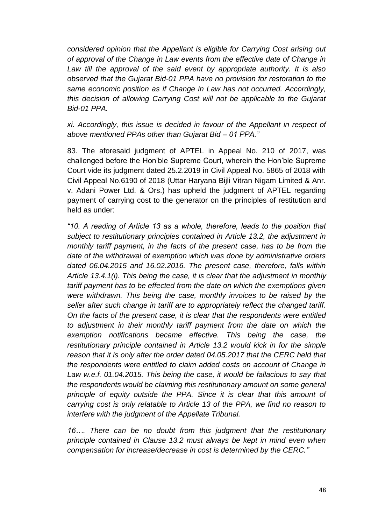*considered opinion that the Appellant is eligible for Carrying Cost arising out of approval of the Change in Law events from the effective date of Change in Law till the approval of the said event by appropriate authority. It is also observed that the Gujarat Bid-01 PPA have no provision for restoration to the same economic position as if Change in Law has not occurred. Accordingly, this decision of allowing Carrying Cost will not be applicable to the Gujarat Bid-01 PPA.*

*xi. Accordingly, this issue is decided in favour of the Appellant in respect of above mentioned PPAs other than Gujarat Bid – 01 PPA."*

83. The aforesaid judgment of APTEL in Appeal No. 210 of 2017, was challenged before the Hon'ble Supreme Court, wherein the Hon'ble Supreme Court vide its judgment dated 25.2.2019 in Civil Appeal No. 5865 of 2018 with Civil Appeal No.6190 of 2018 (Uttar Haryana Bijli Vitran Nigam Limited & Anr. v. Adani Power Ltd. & Ors.) has upheld the judgment of APTEL regarding payment of carrying cost to the generator on the principles of restitution and held as under:

*"10. A reading of Article 13 as a whole, therefore, leads to the position that subject to restitutionary principles contained in Article 13.2, the adjustment in monthly tariff payment, in the facts of the present case, has to be from the date of the withdrawal of exemption which was done by administrative orders dated 06.04.2015 and 16.02.2016. The present case, therefore, falls within Article 13.4.1(i). This being the case, it is clear that the adjustment in monthly tariff payment has to be effected from the date on which the exemptions given were withdrawn. This being the case, monthly invoices to be raised by the seller after such change in tariff are to appropriately reflect the changed tariff. On the facts of the present case, it is clear that the respondents were entitled*  to adjustment in their monthly tariff payment from the date on which the *exemption notifications became effective. This being the case, the restitutionary principle contained in Article 13.2 would kick in for the simple reason that it is only after the order dated 04.05.2017 that the CERC held that the respondents were entitled to claim added costs on account of Change in Law w.e.f. 01.04.2015. This being the case, it would be fallacious to say that the respondents would be claiming this restitutionary amount on some general principle of equity outside the PPA. Since it is clear that this amount of carrying cost is only relatable to Article 13 of the PPA, we find no reason to interfere with the judgment of the Appellate Tribunal.*

*16…. There can be no doubt from this judgment that the restitutionary principle contained in Clause 13.2 must always be kept in mind even when compensation for increase/decrease in cost is determined by the CERC."*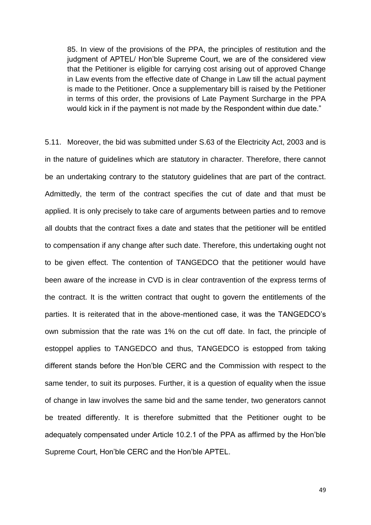85. In view of the provisions of the PPA, the principles of restitution and the judgment of APTEL/ Hon'ble Supreme Court, we are of the considered view that the Petitioner is eligible for carrying cost arising out of approved Change in Law events from the effective date of Change in Law till the actual payment is made to the Petitioner. Once a supplementary bill is raised by the Petitioner in terms of this order, the provisions of Late Payment Surcharge in the PPA would kick in if the payment is not made by the Respondent within due date."

5.11. Moreover, the bid was submitted under S.63 of the Electricity Act, 2003 and is in the nature of guidelines which are statutory in character. Therefore, there cannot be an undertaking contrary to the statutory guidelines that are part of the contract. Admittedly, the term of the contract specifies the cut of date and that must be applied. It is only precisely to take care of arguments between parties and to remove all doubts that the contract fixes a date and states that the petitioner will be entitled to compensation if any change after such date. Therefore, this undertaking ought not to be given effect. The contention of TANGEDCO that the petitioner would have been aware of the increase in CVD is in clear contravention of the express terms of the contract. It is the written contract that ought to govern the entitlements of the parties. It is reiterated that in the above-mentioned case, it was the TANGEDCO's own submission that the rate was 1% on the cut off date. In fact, the principle of estoppel applies to TANGEDCO and thus, TANGEDCO is estopped from taking different stands before the Hon'ble CERC and the Commission with respect to the same tender, to suit its purposes. Further, it is a question of equality when the issue of change in law involves the same bid and the same tender, two generators cannot be treated differently. It is therefore submitted that the Petitioner ought to be adequately compensated under Article 10.2.1 of the PPA as affirmed by the Hon'ble Supreme Court, Hon'ble CERC and the Hon'ble APTEL.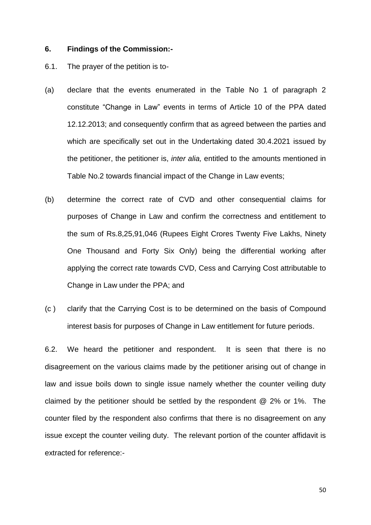### **6. Findings of the Commission:-**

- 6.1. The prayer of the petition is to-
- (a) declare that the events enumerated in the Table No 1 of paragraph 2 constitute "Change in Law" events in terms of Article 10 of the PPA dated 12.12.2013; and consequently confirm that as agreed between the parties and which are specifically set out in the Undertaking dated 30.4.2021 issued by the petitioner, the petitioner is, *inter alia,* entitled to the amounts mentioned in Table No.2 towards financial impact of the Change in Law events;
- (b) determine the correct rate of CVD and other consequential claims for purposes of Change in Law and confirm the correctness and entitlement to the sum of Rs.8,25,91,046 (Rupees Eight Crores Twenty Five Lakhs, Ninety One Thousand and Forty Six Only) being the differential working after applying the correct rate towards CVD, Cess and Carrying Cost attributable to Change in Law under the PPA; and
- (c ) clarify that the Carrying Cost is to be determined on the basis of Compound interest basis for purposes of Change in Law entitlement for future periods.

6.2. We heard the petitioner and respondent. It is seen that there is no disagreement on the various claims made by the petitioner arising out of change in law and issue boils down to single issue namely whether the counter veiling duty claimed by the petitioner should be settled by the respondent @ 2% or 1%. The counter filed by the respondent also confirms that there is no disagreement on any issue except the counter veiling duty. The relevant portion of the counter affidavit is extracted for reference:-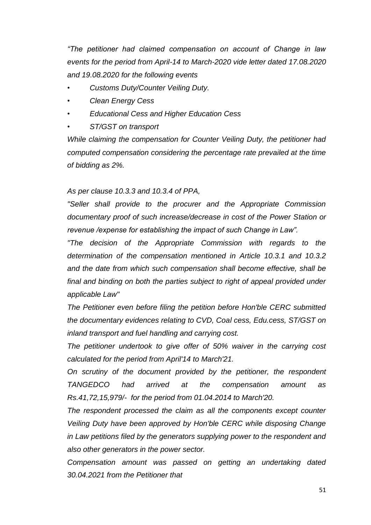*"The petitioner had claimed compensation on account of Change in law events for the period from April-14 to March-2020 vide letter dated 17.08.2020 and 19.08.2020 for the following events* 

- *• Customs Duty/Counter Veiling Duty.*
- *• Clean Energy Cess*
- *• Educational Cess and Higher Education Cess*
- *• ST/GST on transport*

*While claiming the compensation for Counter Veiling Duty, the petitioner had computed compensation considering the percentage rate prevailed at the time of bidding as 2%.* 

### *As per clause 10.3.3 and 10.3.4 of PPA,*

*"Seller shall provide to the procurer and the Appropriate Commission documentary proof of such increase/decrease in cost of the Power Station or revenue /expense for establishing the impact of such Change in Law".*

*"The decision of the Appropriate Commission with regards to the determination of the compensation mentioned in Article 10.3.1 and 10.3.2 and the date from which such compensation shall become effective, shall be final and binding on both the parties subject to right of appeal provided under applicable Law"* 

*The Petitioner even before filing the petition before Hon'ble CERC submitted the documentary evidences relating to CVD, Coal cess, Edu.cess, ST/GST on inland transport and fuel handling and carrying cost.* 

*The petitioner undertook to give offer of 50% waiver in the carrying cost calculated for the period from April'14 to March'21.* 

*On scrutiny of the document provided by the petitioner, the respondent TANGEDCO had arrived at the compensation amount as Rs.41,72,15,979/- for the period from 01.04.2014 to March'20.* 

*The respondent processed the claim as all the components except counter Veiling Duty have been approved by Hon'ble CERC while disposing Change in Law petitions filed by the generators supplying power to the respondent and also other generators in the power sector.* 

*Compensation amount was passed on getting an undertaking dated 30.04.2021 from the Petitioner that*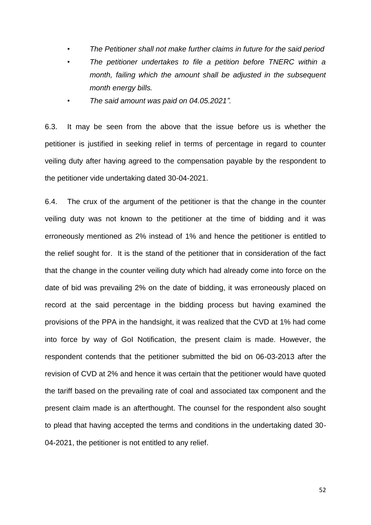- *• The Petitioner shall not make further claims in future for the said period*
- *• The petitioner undertakes to file a petition before TNERC within a month, failing which the amount shall be adjusted in the subsequent month energy bills.*
- *• The said amount was paid on 04.05.2021".*

6.3. It may be seen from the above that the issue before us is whether the petitioner is justified in seeking relief in terms of percentage in regard to counter veiling duty after having agreed to the compensation payable by the respondent to the petitioner vide undertaking dated 30-04-2021.

6.4. The crux of the argument of the petitioner is that the change in the counter veiling duty was not known to the petitioner at the time of bidding and it was erroneously mentioned as 2% instead of 1% and hence the petitioner is entitled to the relief sought for. It is the stand of the petitioner that in consideration of the fact that the change in the counter veiling duty which had already come into force on the date of bid was prevailing 2% on the date of bidding, it was erroneously placed on record at the said percentage in the bidding process but having examined the provisions of the PPA in the handsight, it was realized that the CVD at 1% had come into force by way of GoI Notification, the present claim is made. However, the respondent contends that the petitioner submitted the bid on 06-03-2013 after the revision of CVD at 2% and hence it was certain that the petitioner would have quoted the tariff based on the prevailing rate of coal and associated tax component and the present claim made is an afterthought. The counsel for the respondent also sought to plead that having accepted the terms and conditions in the undertaking dated 30- 04-2021, the petitioner is not entitled to any relief.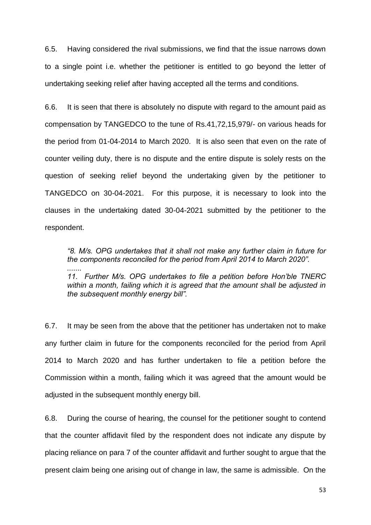6.5. Having considered the rival submissions, we find that the issue narrows down to a single point i.e. whether the petitioner is entitled to go beyond the letter of undertaking seeking relief after having accepted all the terms and conditions.

6.6. It is seen that there is absolutely no dispute with regard to the amount paid as compensation by TANGEDCO to the tune of Rs.41,72,15,979/- on various heads for the period from 01-04-2014 to March 2020. It is also seen that even on the rate of counter veiling duty, there is no dispute and the entire dispute is solely rests on the question of seeking relief beyond the undertaking given by the petitioner to TANGEDCO on 30-04-2021. For this purpose, it is necessary to look into the clauses in the undertaking dated 30-04-2021 submitted by the petitioner to the respondent.

*"8. M/s. OPG undertakes that it shall not make any further claim in future for the components reconciled for the period from April 2014 to March 2020". ....... 11. Further M/s. OPG undertakes to file a petition before Hon'ble TNERC within a month, failing which it is agreed that the amount shall be adjusted in the subsequent monthly energy bill".*

6.7. It may be seen from the above that the petitioner has undertaken not to make any further claim in future for the components reconciled for the period from April 2014 to March 2020 and has further undertaken to file a petition before the Commission within a month, failing which it was agreed that the amount would be adjusted in the subsequent monthly energy bill.

6.8. During the course of hearing, the counsel for the petitioner sought to contend that the counter affidavit filed by the respondent does not indicate any dispute by placing reliance on para 7 of the counter affidavit and further sought to argue that the present claim being one arising out of change in law, the same is admissible. On the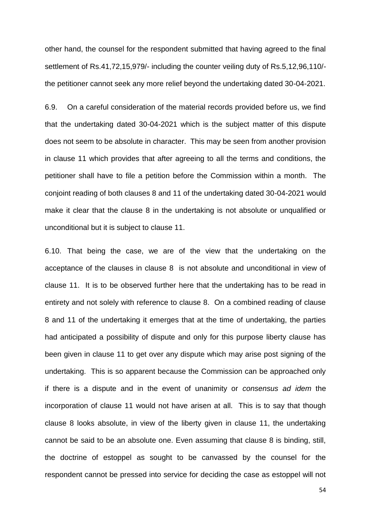other hand, the counsel for the respondent submitted that having agreed to the final settlement of Rs.41,72,15,979/- including the counter veiling duty of Rs.5,12,96,110/ the petitioner cannot seek any more relief beyond the undertaking dated 30-04-2021.

6.9. On a careful consideration of the material records provided before us, we find that the undertaking dated 30-04-2021 which is the subject matter of this dispute does not seem to be absolute in character. This may be seen from another provision in clause 11 which provides that after agreeing to all the terms and conditions, the petitioner shall have to file a petition before the Commission within a month. The conjoint reading of both clauses 8 and 11 of the undertaking dated 30-04-2021 would make it clear that the clause 8 in the undertaking is not absolute or unqualified or unconditional but it is subject to clause 11.

6.10. That being the case, we are of the view that the undertaking on the acceptance of the clauses in clause 8 is not absolute and unconditional in view of clause 11. It is to be observed further here that the undertaking has to be read in entirety and not solely with reference to clause 8. On a combined reading of clause 8 and 11 of the undertaking it emerges that at the time of undertaking, the parties had anticipated a possibility of dispute and only for this purpose liberty clause has been given in clause 11 to get over any dispute which may arise post signing of the undertaking. This is so apparent because the Commission can be approached only if there is a dispute and in the event of unanimity or *consensus ad idem* the incorporation of clause 11 would not have arisen at all. This is to say that though clause 8 looks absolute, in view of the liberty given in clause 11, the undertaking cannot be said to be an absolute one. Even assuming that clause 8 is binding, still, the doctrine of estoppel as sought to be canvassed by the counsel for the respondent cannot be pressed into service for deciding the case as estoppel will not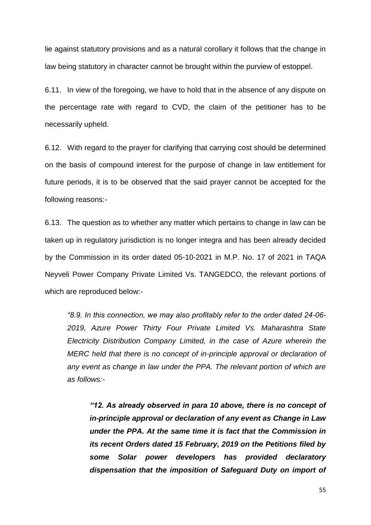lie against statutory provisions and as a natural corollary it follows that the change in law being statutory in character cannot be brought within the purview of estoppel.

6.11. In view of the foregoing, we have to hold that in the absence of any dispute on the percentage rate with regard to CVD, the claim of the petitioner has to be necessarily upheld.

6.12. With regard to the prayer for clarifying that carrying cost should be determined on the basis of compound interest for the purpose of change in law entitlement for future periods, it is to be observed that the said prayer cannot be accepted for the following reasons:-

6.13. The question as to whether any matter which pertains to change in law can be taken up in regulatory jurisdiction is no longer integra and has been already decided by the Commission in its order dated 05-10-2021 in M.P. No. 17 of 2021 in TAQA Neyveli Power Company Private Limited Vs. TANGEDCO, the relevant portions of which are reproduced below:-

*"8.9. In this connection, we may also profitably refer to the order dated 24-06- 2019, Azure Power Thirty Four Private Limited Vs. Maharashtra State Electricity Distribution Company Limited, in the case of Azure wherein the MERC held that there is no concept of in-principle approval or declaration of any event as change in law under the PPA. The relevant portion of which are as follows:-*

*"12. As already observed in para 10 above, there is no concept of in-principle approval or declaration of any event as Change in Law under the PPA. At the same time it is fact that the Commission in its recent Orders dated 15 February, 2019 on the Petitions filed by some Solar power developers has provided declaratory dispensation that the imposition of Safeguard Duty on import of*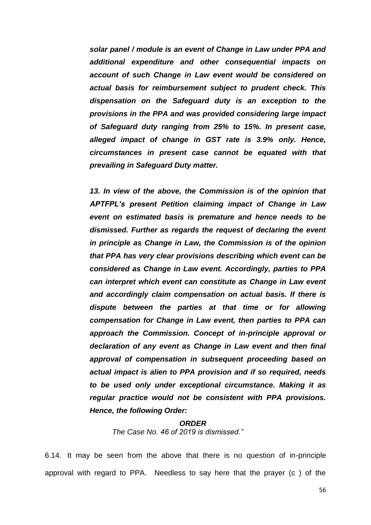*solar panel / module is an event of Change in Law under PPA and additional expenditure and other consequential impacts on account of such Change in Law event would be considered on actual basis for reimbursement subject to prudent check. This dispensation on the Safeguard duty is an exception to the provisions in the PPA and was provided considering large impact of Safeguard duty ranging from 25% to 15%. In present case, alleged impact of change in GST rate is 3.9% only. Hence, circumstances in present case cannot be equated with that prevailing in Safeguard Duty matter.*

*13. In view of the above, the Commission is of the opinion that APTFPL's present Petition claiming impact of Change in Law event on estimated basis is premature and hence needs to be dismissed. Further as regards the request of declaring the event in principle as Change in Law, the Commission is of the opinion that PPA has very clear provisions describing which event can be considered as Change in Law event. Accordingly, parties to PPA can interpret which event can constitute as Change in Law event and accordingly claim compensation on actual basis. If there is dispute between the parties at that time or for allowing compensation for Change in Law event, then parties to PPA can approach the Commission. Concept of in-principle approval or declaration of any event as Change in Law event and then final approval of compensation in subsequent proceeding based on actual impact is alien to PPA provision and if so required, needs to be used only under exceptional circumstance. Making it as regular practice would not be consistent with PPA provisions. Hence, the following Order:*

### *ORDER*

*The Case No. 46 of 2019 is dismissed."*

6.14. It may be seen from the above that there is no question of in-principle approval with regard to PPA. Needless to say here that the prayer (c ) of the